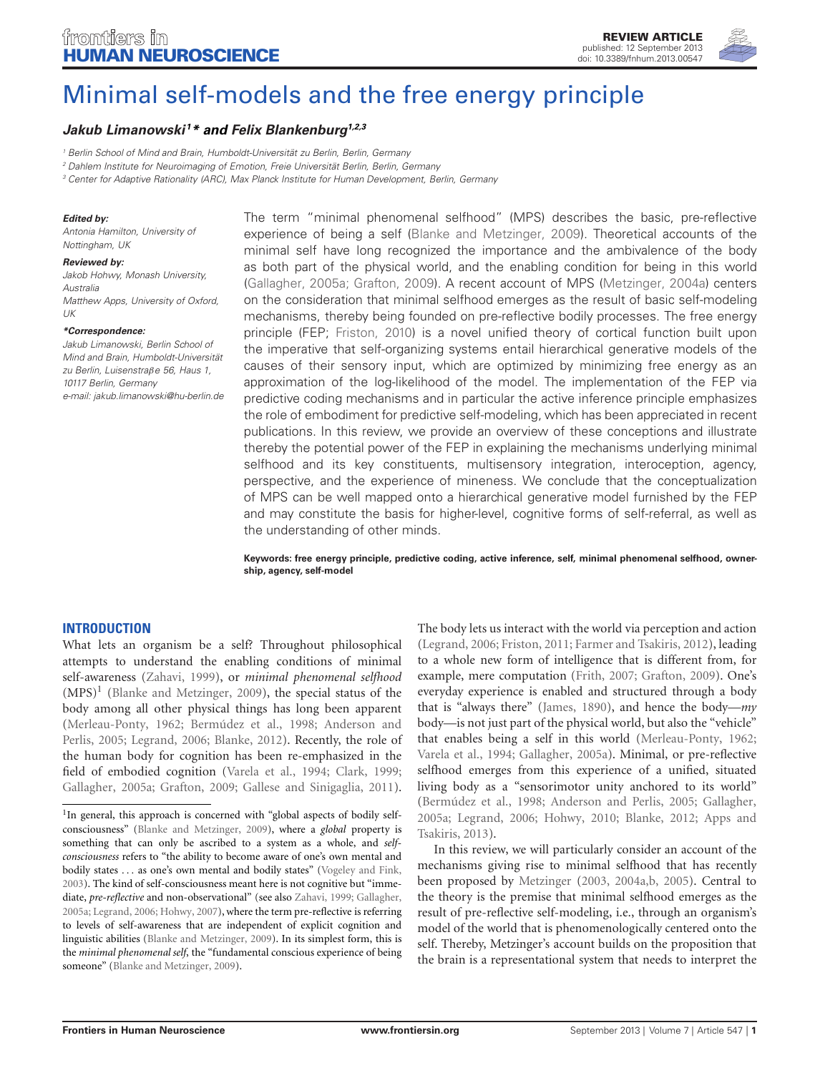

# [Minimal self-models and the free energy principle](http://www.frontiersin.org/Human_Neuroscience/10.3389/fnhum.2013.00547/abstract)

# *[Jakub Limanowski](http://www.frontiersin.org/Community/WhosWhoActivity.aspx?sname=JakubLimanowski&UID=74619) 1\* and [Felix Blankenburg1](http://community.frontiersin.org/people/FelixBlankenburg/41364),2,3*

*<sup>1</sup> Berlin School of Mind and Brain, Humboldt-Universität zu Berlin, Berlin, Germany*

*<sup>2</sup> Dahlem Institute for Neuroimaging of Emotion, Freie Universität Berlin, Berlin, Germany*

*<sup>3</sup> Center for Adaptive Rationality (ARC), Max Planck Institute for Human Development, Berlin, Germany*

#### *Edited by:*

*Antonia Hamilton, University of Nottingham, UK*

#### *Reviewed by:*

*Jakob Hohwy, Monash University, Australia Matthew Apps, University of Oxford, UK*

#### *\*Correspondence:*

*Jakub Limanowski, Berlin School of Mind and Brain, Humboldt-Universität zu Berlin, Luisenstra*β*e 56, Haus 1, 10117 Berlin, Germany e-mail: [jakub.limanowski@hu-berlin.de](mailto:jakub.limanowski@hu-berlin.de)* The term "minimal phenomenal selfhood" (MPS) describes the basic, pre-reflective experience of being a self [\(Blanke and Metzinger](#page-9-0), [2009\)](#page-9-0). Theoretical accounts of the minimal self have long recognized the importance and the ambivalence of the body as both part of the physical world, and the enabling condition for being in this world [\(Gallagher](#page-10-0), [2005a](#page-10-0); [Grafton, 2009](#page-10-1)). A recent account of MPS [\(Metzinger](#page-10-2), [2004a](#page-10-2)) centers on the consideration that minimal selfhood emerges as the result of basic self-modeling mechanisms, thereby being founded on pre-reflective bodily processes. The free energy principle (FEP; [Friston](#page-9-1), [2010](#page-9-1)) is a novel unified theory of cortical function built upon the imperative that self-organizing systems entail hierarchical generative models of the causes of their sensory input, which are optimized by minimizing free energy as an approximation of the log-likelihood of the model. The implementation of the FEP via predictive coding mechanisms and in particular the active inference principle emphasizes the role of embodiment for predictive self-modeling, which has been appreciated in recent publications. In this review, we provide an overview of these conceptions and illustrate thereby the potential power of the FEP in explaining the mechanisms underlying minimal selfhood and its key constituents, multisensory integration, interoception, agency, perspective, and the experience of mineness. We conclude that the conceptualization of MPS can be well mapped onto a hierarchical generative model furnished by the FEP and may constitute the basis for higher-level, cognitive forms of self-referral, as well as the understanding of other minds.

**Keywords: free energy principle, predictive coding, active inference, self, minimal phenomenal selfhood, ownership, agency, self-model**

## **INTRODUCTION**

What lets an organism be a self? Throughout philosophical attempts to understand the enabling conditions of minimal self-awareness [\(Zahavi, 1999](#page-11-0)), or *minimal phenomenal selfhood*  $(MPS)^1$  [\(Blanke and Metzinger](#page-9-0), [2009](#page-9-0)), the special status of the body among all other physical things has long been apparent [\(Merleau-Ponty, 1962](#page-10-3); [Bermúdez et al., 1998](#page-9-2); [Anderson and](#page-9-3) Perlis, [2005;](#page-9-3) [Legrand](#page-10-4), [2006](#page-10-4); [Blanke](#page-9-4), [2012](#page-9-4)). Recently, the role of the human body for cognition has been re-emphasized in the field of embodied cognition [\(Varela et al.](#page-11-1), [1994](#page-11-1); [Clark, 1999;](#page-9-5) [Gallagher, 2005a](#page-10-0); [Grafton](#page-10-1), [2009;](#page-10-1) [Gallese and Sinigaglia, 2011](#page-10-5)).

The body lets us interact with the world via perception and action [\(Legrand, 2006](#page-10-4); [Friston](#page-9-6), [2011;](#page-9-6) [Farmer and Tsakiris](#page-9-7), [2012](#page-9-7)), leading to a whole new form of intelligence that is different from, for example, mere computation [\(Frith](#page-10-7), [2007;](#page-10-7) [Grafton, 2009](#page-10-1)). One's everyday experience is enabled and structured through a body that is "always there" [\(James](#page-10-8), [1890\)](#page-10-8), and hence the body—*my* body—is not just part of the physical world, but also the "vehicle" that enables being a self in this world [\(Merleau-Ponty](#page-10-3), [1962](#page-10-3); [Varela et al.](#page-11-1), [1994;](#page-11-1) [Gallagher, 2005a](#page-10-0)). Minimal, or pre-reflective selfhood emerges from this experience of a unified, situated living body as a "sensorimotor unity anchored to its world" [\(Bermúdez et al.](#page-9-2), [1998;](#page-9-2) [Anderson and Perlis, 2005](#page-9-3); [Gallagher](#page-10-0), [2005a;](#page-10-0) [Legrand](#page-10-4)[,](#page-9-8) [2006](#page-10-4)[;](#page-9-8) [Hohwy](#page-10-9)[,](#page-9-8) [2010](#page-10-9)[;](#page-9-8) [Blanke](#page-9-4)[,](#page-9-8) [2012](#page-9-4)[;](#page-9-8) Apps and Tsakiris, [2013\)](#page-9-8).

In this review, we will particularly consider an account of the mechanisms giving rise to minimal selfhood that has recently been proposed by [Metzinger](#page-10-10) [\(2003,](#page-10-10) [2004a](#page-10-2)[,b](#page-10-11), [2005](#page-11-3)). Central to the theory is the premise that minimal selfhood emerges as the result of pre-reflective self-modeling, i.e., through an organism's model of the world that is phenomenologically centered onto the self. Thereby, Metzinger's account builds on the proposition that the brain is a representational system that needs to interpret the

<span id="page-0-0"></span><sup>&</sup>lt;sup>1</sup>In general, this approach is concerned with "global aspects of bodily selfconsciousness" [\(Blanke and Metzinger](#page-9-0), [2009](#page-9-0)), where a *global* property is something that can only be ascribed to a system as a whole, and *selfconsciousness* refers to "the ability to become aware of one's own mental and bodily states ... as one's own mental and bodily states" [\(Vogeley and Fink,](#page-11-2) [2003\)](#page-11-2). The kind of self-consciousness meant here is not cognitive but "immediate, *pre-reflective* and non-observational" (see also [Zahavi, 1999](#page-11-0); [Gallagher,](#page-10-0) [2005a](#page-10-0); [Legrand, 2006;](#page-10-4) [Hohwy](#page-10-6), [2007](#page-10-6)), where the term pre-reflective is referring to levels of self-awareness that are independent of explicit cognition and linguistic abilities [\(Blanke and Metzinger, 2009](#page-9-0)). In its simplest form, this is the *minimal phenomenal self*, the "fundamental conscious experience of being someone" [\(Blanke and Metzinger, 2009\)](#page-9-0).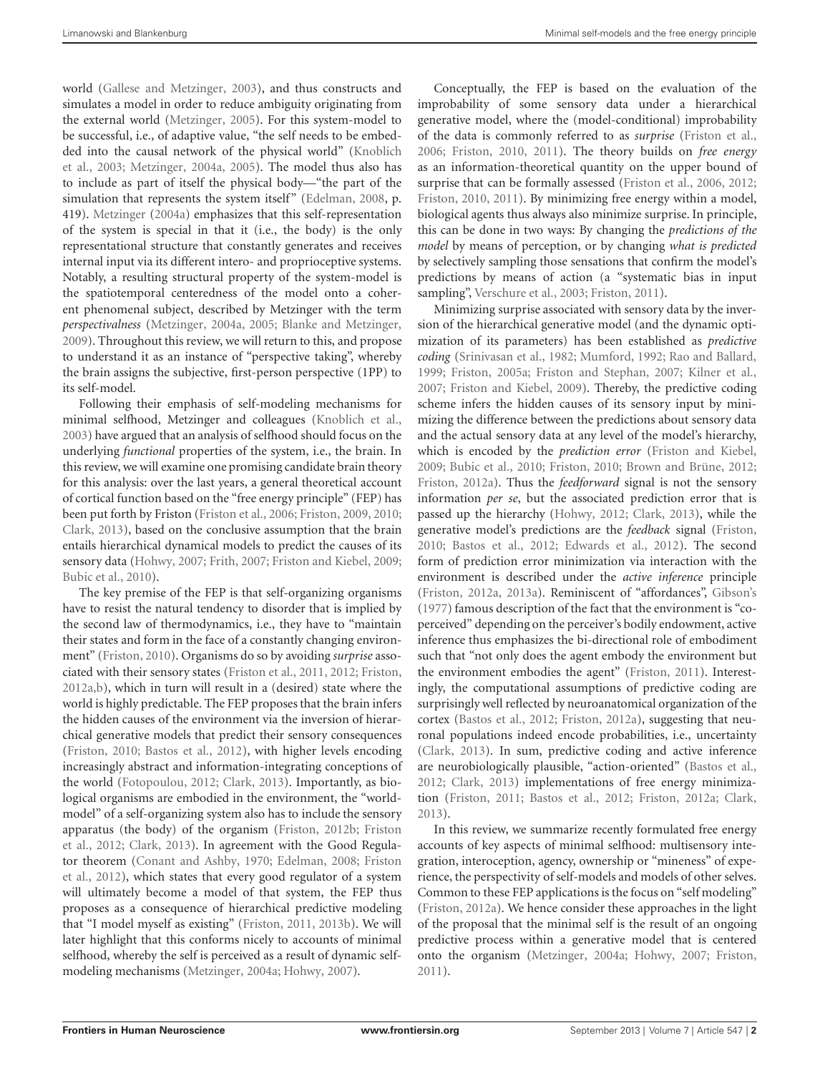world [\(Gallese and Metzinger](#page-10-12), [2003](#page-10-12)), and thus constructs and simulates a model in order to reduce ambiguity originating from the external world [\(Metzinger](#page-11-3), [2005](#page-11-3)). For this system-model to be successful, i.e., of adaptive value, "the self needs to be embedded [into](#page-10-13) [the](#page-10-13) [causal](#page-10-13) [network](#page-10-13) [of](#page-10-13) [the](#page-10-13) [physical](#page-10-13) [world"](#page-10-13) [\(](#page-10-13)Knoblich et al., [2003;](#page-10-13) [Metzinger](#page-10-2), [2004a](#page-10-2), [2005](#page-11-3)). The model thus also has to include as part of itself the physical body—"the part of the simulation that represents the system itself" [\(Edelman, 2008](#page-9-9), p. 419). [Metzinger](#page-10-2) [\(2004a\)](#page-10-2) emphasizes that this self-representation of the system is special in that it (i.e., the body) is the only representational structure that constantly generates and receives internal input via its different intero- and proprioceptive systems. Notably, a resulting structural property of the system-model is the spatiotemporal centeredness of the model onto a coherent phenomenal subject, described by Metzinger with the term *perspectivalness* [\(Metzinger, 2004a,](#page-10-2) [2005](#page-11-3); [Blanke and Metzinger](#page-9-0), [2009\)](#page-9-0). Throughout this review, we will return to this, and propose to understand it as an instance of "perspective taking", whereby the brain assigns the subjective, first-person perspective (1PP) to its self-model.

Following their emphasis of self-modeling mechanisms for minimal selfhood, Metzinger and colleagues [\(Knoblich et al.](#page-10-13), [2003\)](#page-10-13) have argued that an analysis of selfhood should focus on the underlying *functional* properties of the system, i.e., the brain. In this review, we will examine one promising candidate brain theory for this analysis: over the last years, a general theoretical account of cortical function based on the "free energy principle" (FEP) has been put forth by Friston [\(Friston et al.](#page-10-14), [2006;](#page-10-14) [Friston, 2009](#page-9-10), [2010;](#page-9-1) [Clark](#page-9-11), [2013\)](#page-9-11), based on the conclusive assumption that the brain entails hierarchical dynamical models to predict the causes of its sensory data [\(Hohwy](#page-10-6), [2007;](#page-10-6) [Frith, 2007](#page-10-7); [Friston and Kiebel](#page-10-15), [2009;](#page-10-15) [Bubic et al.](#page-9-12), [2010](#page-9-12)).

The key premise of the FEP is that self-organizing organisms have to resist the natural tendency to disorder that is implied by the second law of thermodynamics, i.e., they have to "maintain their states and form in the face of a constantly changing environment" [\(Friston, 2010\)](#page-9-1). Organisms do so by avoiding *surprise* associated with their sensory states [\(Friston et al., 2011,](#page-10-16) [2012](#page-10-17); [Friston,](#page-9-13) [2012a](#page-9-13)[,b\)](#page-10-18), which in turn will result in a (desired) state where the world is highly predictable. The FEP proposes that the brain infers the hidden causes of the environment via the inversion of hierarchical generative models that predict their sensory consequences [\(Friston, 2010;](#page-9-1) [Bastos et al., 2012\)](#page-9-14), with higher levels encoding increasingly abstract and information-integrating conceptions of the world [\(Fotopoulou, 2012;](#page-9-15) [Clark, 2013](#page-9-11)). Importantly, as biological organisms are embodied in the environment, the "worldmodel" of a self-organizing system also has to include the sensory appa[ratus \(the body\) of the organism](#page-10-17) [\(Friston](#page-10-18)[,](#page-10-17) [2012b](#page-10-18)[;](#page-10-17) Friston et al., [2012](#page-10-17); [Clark, 2013\)](#page-9-11). In agreement with the Good Regulator t[heorem](#page-10-17) [\(Conant and Ashby](#page-9-16)[,](#page-10-17) [1970](#page-9-16)[;](#page-10-17) [Edelman](#page-9-9)[,](#page-10-17) [2008](#page-9-9)[;](#page-10-17) Friston et al., [2012\)](#page-10-17), which states that every good regulator of a system will ultimately become a model of that system, the FEP thus proposes as a consequence of hierarchical predictive modeling that "I model myself as existing" [\(Friston, 2011,](#page-9-6) [2013b\)](#page-10-19). We will later highlight that this conforms nicely to accounts of minimal selfhood, whereby the self is perceived as a result of dynamic selfmodeling mechanisms [\(Metzinger, 2004a;](#page-10-2) [Hohwy](#page-10-6), [2007](#page-10-6)).

Conceptually, the FEP is based on the evaluation of the improbability of some sensory data under a hierarchical generative model, where the (model-conditional) improbability of the data is commonly referred to as *surprise* [\(Friston et al.](#page-10-14), [2006](#page-10-14); [Friston](#page-9-1), [2010,](#page-9-1) [2011\)](#page-9-6). The theory builds on *free energy* as an information-theoretical quantity on the upper bound of surprise that can be formally assessed [\(Friston et al.](#page-10-14), [2006](#page-10-14), [2012](#page-10-17); [Friston](#page-9-1), [2010](#page-9-1), [2011\)](#page-9-6). By minimizing free energy within a model, biological agents thus always also minimize surprise. In principle, this can be done in two ways: By changing the *predictions of the model* by means of perception, or by changing *what is predicted* by selectively sampling those sensations that confirm the model's predictions by means of action (a "systematic bias in input sampling", [Verschure et al.](#page-11-4), [2003;](#page-11-4) [Friston](#page-9-6), [2011\)](#page-9-6).

Minimizing surprise associated with sensory data by the inversion of the hierarchical generative model (and the dynamic optimization of its parameters) has been established as *predictive coding* [\(Srinivasan et al., 1982;](#page-11-5) [Mumford](#page-11-6), [1992](#page-11-6); [Rao and Ballard](#page-11-7), [1999](#page-11-7); [Friston, 2005a](#page-9-17); [Friston and Stephan](#page-10-20), [2007;](#page-10-20) [Kilner et al.](#page-10-21), [2007](#page-10-21); [Friston and Kiebel, 2009\)](#page-10-15). Thereby, the predictive coding scheme infers the hidden causes of its sensory input by minimizing the difference between the predictions about sensory data and the actual sensory data at any level of the model's hierarchy, which is encoded by the *prediction error* [\(Friston and Kiebel](#page-10-15), [2009](#page-10-15); [Bubic et al.](#page-9-12), [2010;](#page-9-12) [Friston](#page-9-1), [2010;](#page-9-1) [Brown and Brüne, 2012](#page-9-18); [Friston](#page-9-13), [2012a](#page-9-13)). Thus the *feedforward* signal is not the sensory information *per se*, but the associated prediction error that is passed up the hierarchy [\(Hohwy, 2012](#page-10-22); [Clark, 2013\)](#page-9-11), while the generative model's predictions are the *feedback* signal [\(Friston](#page-9-1), [2010](#page-9-1); [Bastos et al., 2012](#page-9-14); [Edwards et al., 2012](#page-9-19)). The second form of prediction error minimization via interaction with the environment is described under the *active inference* principle [\(Friston, 2012a](#page-9-13), [2013a](#page-10-23)). Reminiscent of "affordances", [Gibson's](#page-10-24) [\(1977\)](#page-10-24) famous description of the fact that the environment is "coperceived" depending on the perceiver's bodily endowment, active inference thus emphasizes the bi-directional role of embodiment such that "not only does the agent embody the environment but the environment embodies the agent" [\(Friston](#page-9-6), [2011](#page-9-6)). Interestingly, the computational assumptions of predictive coding are surprisingly well reflected by neuroanatomical organization of the cortex [\(Bastos et al.](#page-9-14), [2012;](#page-9-14) [Friston](#page-9-13), [2012a\)](#page-9-13), suggesting that neuronal populations indeed encode probabilities, i.e., uncertainty [\(Clark, 2013](#page-9-11)). In sum, predictive coding and active inference are neurobiologically plausible, "action-oriented" [\(Bastos et al.](#page-9-14), [2012](#page-9-14); [Clark, 2013\)](#page-9-11) implementations of free energy minimization [\(Friston, 2011](#page-9-6); [Bastos et al., 2012;](#page-9-14) [Friston](#page-9-13), [2012a;](#page-9-13) [Clark](#page-9-11), [2013](#page-9-11)).

In this review, we summarize recently formulated free energy accounts of key aspects of minimal selfhood: multisensory integration, interoception, agency, ownership or "mineness" of experience, the perspectivity of self-models and models of other selves. Common to these FEP applications is the focus on "self modeling" [\(Friston, 2012a\)](#page-9-13). We hence consider these approaches in the light of the proposal that the minimal self is the result of an ongoing predictive process within a generative model that is centered onto the organism [\(Metzinger](#page-10-2), [2004a;](#page-10-2) [Hohwy, 2007](#page-10-6); [Friston](#page-9-6), [2011](#page-9-6)).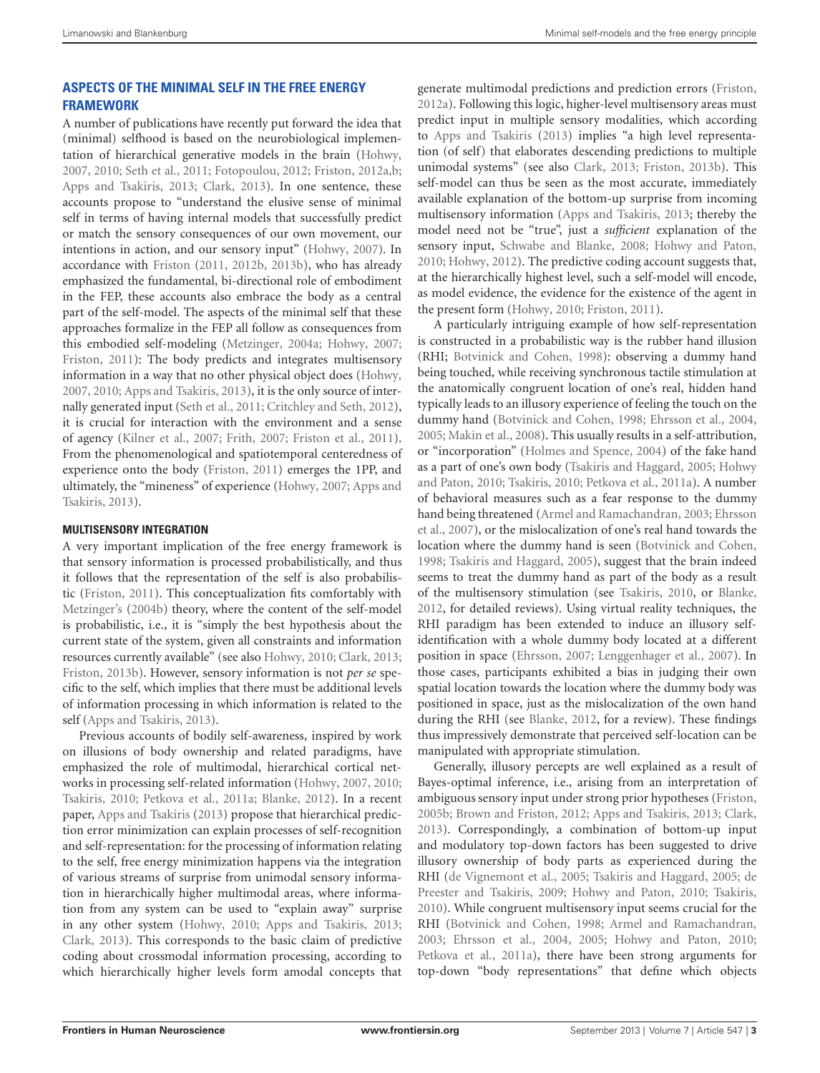# **ASPECTS OF THE MINIMAL SELF IN THE FREE ENERGY FRAMEWORK**

A number of publications have recently put forward the idea that (minimal) selfhood is based on the neurobiological implementation of hierarchical generative models in the brain [\(Hohwy](#page-10-6), [2007,](#page-10-6) [2010;](#page-10-9) [Seth et al.](#page-11-8), [2011](#page-11-8); [Fotopoulou, 2012;](#page-9-15) [Friston](#page-9-13), [2012a](#page-9-13)[,b;](#page-10-18) [Apps and Tsakiris](#page-9-8), [2013;](#page-9-8) [Clark](#page-9-11), [2013](#page-9-11)). In one sentence, these accounts propose to "understand the elusive sense of minimal self in terms of having internal models that successfully predict or match the sensory consequences of our own movement, our intentions in action, and our sensory input" [\(Hohwy, 2007\)](#page-10-6). In accordance with [Friston](#page-9-6) [\(2011](#page-9-6), [2012b,](#page-10-18) [2013b](#page-10-19)), who has already emphasized the fundamental, bi-directional role of embodiment in the FEP, these accounts also embrace the body as a central part of the self-model. The aspects of the minimal self that these approaches formalize in the FEP all follow as consequences from this embodied self-modeling [\(Metzinger, 2004a](#page-10-2); [Hohwy, 2007;](#page-10-6) [Friston](#page-9-6), [2011](#page-9-6)): The body predicts and integrates multisensory information in a way that no other physical object does [\(Hohwy](#page-10-6), [2007,](#page-10-6) [2010](#page-10-9); [Apps and Tsakiris, 2013](#page-9-8)), it is the only source of internally generated input [\(Seth et al.](#page-11-8), [2011;](#page-11-8) [Critchley and Seth](#page-9-20), [2012](#page-9-20)), it is crucial for interaction with the environment and a sense of agency [\(Kilner et al.](#page-10-21), [2007;](#page-10-21) [Frith](#page-10-7), [2007](#page-10-7); [Friston et al.](#page-10-16), [2011](#page-10-16)). From the phenomenological and spatiotemporal centeredness of experience onto the body [\(Friston](#page-9-6), [2011\)](#page-9-6) emerges the 1PP, and ultimately, the "mineness" of experience [\(Hohwy](#page-10-6), [2007](#page-10-6); Apps and Tsakiris, [2013\)](#page-9-8).

## **MULTISENSORY INTEGRATION**

A very important implication of the free energy framework is that sensory information is processed probabilistically, and thus it follows that the representation of the self is also probabilistic [\(Friston](#page-9-6), [2011](#page-9-6)). This conceptualization fits comfortably with [Metzinger'](#page-10-11)s [\(2004b\)](#page-10-11) theory, where the content of the self-model is probabilistic, i.e., it is "simply the best hypothesis about the current state of the system, given all constraints and information resources currently available" (see also [Hohwy, 2010;](#page-10-9) [Clark, 2013;](#page-9-11) [Friston](#page-10-19), [2013b\)](#page-10-19). However, sensory information is not *per se* specific to the self, which implies that there must be additional levels of information processing in which information is related to the self [\(Apps and Tsakiris](#page-9-8), [2013](#page-9-8)).

Previous accounts of bodily self-awareness, inspired by work on illusions of body ownership and related paradigms, have emphasized the role of multimodal, hierarchical cortical networks in processing self-related information [\(Hohwy](#page-10-6), [2007,](#page-10-6) [2010;](#page-10-9) [Tsakiris](#page-11-9), [2010](#page-11-9); [Petkova et al.](#page-11-10), [2011a](#page-11-10); [Blanke, 2012\)](#page-9-4). In a recent paper, [Apps and Tsakiris](#page-9-8) [\(2013](#page-9-8)) propose that hierarchical prediction error minimization can explain processes of self-recognition and self-representation: for the processing of information relating to the self, free energy minimization happens via the integration of various streams of surprise from unimodal sensory information in hierarchically higher multimodal areas, where information from any system can be used to "explain away" surprise in any other system [\(Hohwy](#page-10-9), [2010](#page-10-9); [Apps and Tsakiris](#page-9-8), [2013;](#page-9-8) [Clark](#page-9-11), [2013](#page-9-11)). This corresponds to the basic claim of predictive coding about crossmodal information processing, according to which hierarchically higher levels form amodal concepts that

generate multimodal predictions and prediction errors [\(Friston](#page-9-13), [2012a\)](#page-9-13). Following this logic, higher-level multisensory areas must predict input in multiple sensory modalities, which according to [Apps and Tsakiris](#page-9-8) [\(2013](#page-9-8)) implies "a high level representation (of self) that elaborates descending predictions to multiple unimodal systems" (see also [Clark, 2013;](#page-9-11) [Friston, 2013b\)](#page-10-19). This self-model can thus be seen as the most accurate, immediately available explanation of the bottom-up surprise from incoming multisensory information [\(Apps and Tsakiris](#page-9-8), [2013;](#page-9-8) thereby the model need not be "true", just a *sufficient* explanation of the sensory input, [Schwabe and Blanke](#page-11-11), [2008;](#page-11-11) [Hohwy and Paton](#page-10-25), [2010](#page-10-25); [Hohwy, 2012\)](#page-10-22). The predictive coding account suggests that, at the hierarchically highest level, such a self-model will encode, as model evidence, the evidence for the existence of the agent in the present form [\(Hohwy](#page-10-9), [2010;](#page-10-9) [Friston](#page-9-6), [2011](#page-9-6)).

A particularly intriguing example of how self-representation is constructed in a probabilistic way is the rubber hand illusion (RHI; [Botvinick and Cohen](#page-9-21), [1998\)](#page-9-21): observing a dummy hand being touched, while receiving synchronous tactile stimulation at the anatomically congruent location of one's real, hidden hand typically leads to an illusory experience of feeling the touch on the dummy hand [\(Botvinick and Cohen](#page-9-21), [1998;](#page-9-21) [Ehrsson et al., 2004](#page-9-22), [2005](#page-9-23); [Makin et al., 2008\)](#page-10-26). This usually results in a self-attribution, or "incorporation" [\(Holmes and Spence](#page-10-27), [2004\)](#page-10-27) of the fake hand as a part [of](#page-10-25) [one's](#page-10-25) [own](#page-10-25) [body](#page-10-25) [\(Tsakiris and Haggard](#page-11-12)[,](#page-10-25) [2005](#page-11-12)[;](#page-10-25) Hohwy and Paton, [2010;](#page-10-25) [Tsakiris](#page-11-9), [2010](#page-11-9); [Petkova et al., 2011a\)](#page-11-10). A number of behavioral measures such as a fear response to the dummy han[d being threatened](#page-9-25) [\(Armel and Ramachandran](#page-9-24)[,](#page-9-25) [2003](#page-9-24)[;](#page-9-25) Ehrsson et al., [2007\)](#page-9-25), or the mislocalization of one's real hand towards the location where the dummy hand is seen [\(Botvinick and Cohen](#page-9-21), [1998](#page-9-21); [Tsakiris and Haggard](#page-11-12), [2005](#page-11-12)), suggest that the brain indeed seems to treat the dummy hand as part of the body as a result of the multisensory stimulation (see [Tsakiris, 2010](#page-11-9), or [Blanke](#page-9-4), [2012](#page-9-4), for detailed reviews). Using virtual reality techniques, the RHI paradigm has been extended to induce an illusory selfidentification with a whole dummy body located at a different position in space [\(Ehrsson, 2007](#page-9-26); [Lenggenhager et al., 2007\)](#page-10-28). In those cases, participants exhibited a bias in judging their own spatial location towards the location where the dummy body was positioned in space, just as the mislocalization of the own hand during the RHI (see [Blanke, 2012](#page-9-4), for a review). These findings thus impressively demonstrate that perceived self-location can be manipulated with appropriate stimulation.

Generally, illusory percepts are well explained as a result of Bayes-optimal inference, i.e., arising from an interpretation of ambiguous sensory input under strong prior hypotheses [\(Friston](#page-9-27), [2005b](#page-9-27); [Brown and Friston, 2012](#page-9-28); [Apps and Tsakiris](#page-9-8), [2013;](#page-9-8) [Clark](#page-9-11), [2013](#page-9-11)). Correspondingly, a combination of bottom-up input and modulatory top-down factors has been suggested to drive illusory ownership of body parts as experienced during the RHI [\(de Vignemont et al.](#page-9-29)[,](#page-9-30) [2005;](#page-9-29) [Tsakiris and Haggard](#page-11-12)[,](#page-9-30) [2005](#page-11-12)[;](#page-9-30) de Preester and Tsakiris, [2009](#page-9-30); [Hohwy and Paton](#page-10-25), [2010](#page-10-25); [Tsakiris](#page-11-9), [2010](#page-11-9)). While congruent multisensory input seems crucial for the RHI [\(Botvinick and Cohen, 1998](#page-9-21); [Armel and Ramachandran](#page-9-24), [2003](#page-9-24); [Ehrsson et al., 2004,](#page-9-22) [2005;](#page-9-23) [Hohwy and Paton](#page-10-25), [2010](#page-10-25); [Petkova et al.](#page-11-10), [2011a\)](#page-11-10), there have been strong arguments for top-down "body representations" that define which objects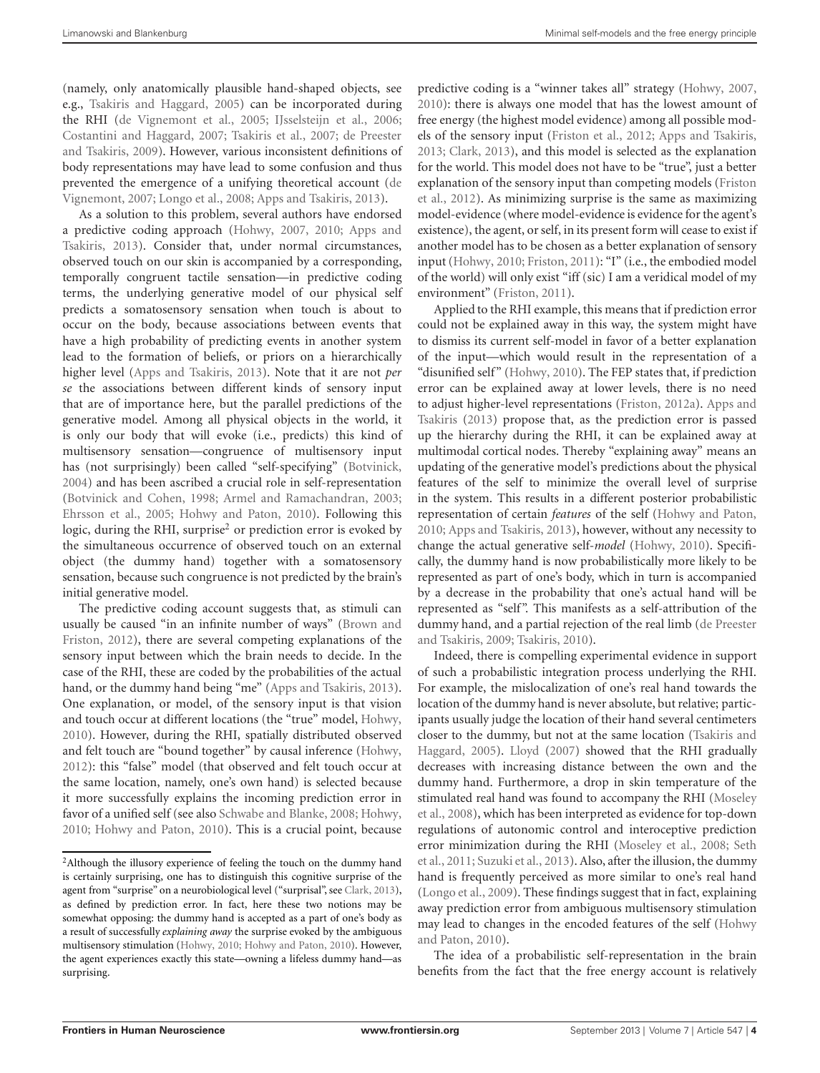(namely, only anatomically plausible hand-shaped objects, see e.g., [Tsakiris and Haggard](#page-11-12), [2005](#page-11-12)) can be incorporated during the RHI [\(de Vignemont et al., 2005;](#page-9-29) [IJsselsteijn et al.](#page-10-29), [2006;](#page-10-29) [Costantini and Haggard, 2007;](#page-9-31) [Tsakiris et al.](#page-11-13)[,](#page-9-30) [2007;](#page-11-13) de Preester and Tsakiris, [2009\)](#page-9-30). However, various inconsistent definitions of body representations may have lead to some confusion and thus prevented [the emergence of a unifying theoretical account \(](#page-9-32)de Vignemont, [2007](#page-9-32); [Longo et al., 2008](#page-10-30); [Apps and Tsakiris](#page-9-8), [2013](#page-9-8)).

As a solution to this problem, several authors have endorsed a predi[ctive coding approach](#page-9-8) [\(Hohwy](#page-10-6)[,](#page-9-8) [2007](#page-10-6)[,](#page-9-8) [2010](#page-10-9)[;](#page-9-8) Apps and Tsakiris, [2013](#page-9-8)). Consider that, under normal circumstances, observed touch on our skin is accompanied by a corresponding, temporally congruent tactile sensation—in predictive coding terms, the underlying generative model of our physical self predicts a somatosensory sensation when touch is about to occur on the body, because associations between events that have a high probability of predicting events in another system lead to the formation of beliefs, or priors on a hierarchically higher level [\(Apps and Tsakiris, 2013](#page-9-8)). Note that it are not *per se* the associations between different kinds of sensory input that are of importance here, but the parallel predictions of the generative model. Among all physical objects in the world, it is only our body that will evoke (i.e., predicts) this kind of multisensory sensation—congruence of multisensory input has (not surprisingly) been called "self-specifying" [\(Botvinick](#page-9-33), [2004\)](#page-9-33) and has been ascribed a crucial role in self-representation [\(Botvinick and Cohen](#page-9-21), [1998](#page-9-21); [Armel and Ramachandran](#page-9-24), [2003;](#page-9-24) [Ehrsson et al., 2005](#page-9-23); [Hohwy and Paton, 2010](#page-10-25)). Following this logic, during the RHI, surprise<sup>2</sup> or prediction error is evoked by the simultaneous occurrence of observed touch on an external object (the dummy hand) together with a somatosensory sensation, because such congruence is not predicted by the brain's initial generative model.

The predictive coding account suggests that, as stimuli can usuall[y be caused "in an infinite number of ways" \(](#page-9-28)Brown and Friston, [2012\)](#page-9-28), there are several competing explanations of the sensory input between which the brain needs to decide. In the case of the RHI, these are coded by the probabilities of the actual hand, or the dummy hand being "me" [\(Apps and Tsakiris](#page-9-8), [2013](#page-9-8)). One explanation, or model, of the sensory input is that vision and touch occur at different locations (the "true" model, [Hohwy](#page-10-9), [2010\)](#page-10-9). However, during the RHI, spatially distributed observed and felt touch are "bound together" by causal inference [\(Hohwy](#page-10-22), [2012\)](#page-10-22): this "false" model (that observed and felt touch occur at the same location, namely, one's own hand) is selected because it more successfully explains the incoming prediction error in favor of a unified self (see also [Schwabe and Blanke, 2008;](#page-11-11) [Hohwy](#page-10-9), [2010;](#page-10-9) [Hohwy and Paton, 2010\)](#page-10-25). This is a crucial point, because predictive coding is a "winner takes all" strategy [\(Hohwy, 2007](#page-10-6), [2010](#page-10-9)): there is always one model that has the lowest amount of free energy (the highest model evidence) among all possible models of the sensory input [\(Friston et al., 2012](#page-10-17); [Apps and Tsakiris](#page-9-8), [2013](#page-9-8); [Clark](#page-9-11), [2013](#page-9-11)), and this model is selected as the explanation for the world. This model does not have to be "true", just a better expl[anation of the sensory input than competing models \(](#page-10-17)Friston et al., [2012\)](#page-10-17). As minimizing surprise is the same as maximizing model-evidence (where model-evidence is evidence for the agent's existence), the agent, or self, in its present form will cease to exist if another model has to be chosen as a better explanation of sensory input [\(Hohwy](#page-10-9), [2010;](#page-10-9) [Friston](#page-9-6), [2011](#page-9-6)): "I" (i.e., the embodied model of the world) will only exist "iff (sic) I am a veridical model of my environment" [\(Friston, 2011\)](#page-9-6).

Applied to the RHI example, this means that if prediction error could not be explained away in this way, the system might have to dismiss its current self-model in favor of a better explanation of the input—which would result in the representation of a "disunified self" [\(Hohwy](#page-10-9), [2010\)](#page-10-9). The FEP states that, if prediction error can be explained away at lower levels, there is no need to adju[st higher-level representations](#page-9-8) [\(Friston](#page-9-13)[,](#page-9-8) [2012a](#page-9-13)[\).](#page-9-8) Apps and Tsakiris [\(2013\)](#page-9-8) propose that, as the prediction error is passed up the hierarchy during the RHI, it can be explained away at multimodal cortical nodes. Thereby "explaining away" means an updating of the generative model's predictions about the physical features of the self to minimize the overall level of surprise in the system. This results in a different posterior probabilistic representation of certain *features* of the self [\(Hohwy and Paton](#page-10-25), [2010](#page-10-25); [Apps and Tsakiris, 2013](#page-9-8)), however, without any necessity to change the actual generative self-*model* [\(Hohwy](#page-10-9), [2010\)](#page-10-9). Specifically, the dummy hand is now probabilistically more likely to be represented as part of one's body, which in turn is accompanied by a decrease in the probability that one's actual hand will be represented as "self". This manifests as a self-attribution of the dummy ha[nd, and a partial rejection of the real limb \(](#page-9-30)de Preester and Tsakiris, [2009](#page-9-30); [Tsakiris, 2010](#page-11-9)).

Indeed, there is compelling experimental evidence in support of such a probabilistic integration process underlying the RHI. For example, the mislocalization of one's real hand towards the location of the dummy hand is never absolute, but relative; participants usually judge the location of their hand several centimeters closer to [the dummy, but not at the same location \(](#page-11-12)Tsakiris and Haggard, [2005](#page-11-12)). [Lloyd](#page-10-31) [\(2007\)](#page-10-31) showed that the RHI gradually decreases with increasing distance between the own and the dummy hand. Furthermore, a drop in skin temperature of the stim[ulated real hand was found to accompany the RHI \(](#page-11-14)Moseley et al., [2008](#page-11-14)), which has been interpreted as evidence for top-down regulations of autonomic control and interoceptive prediction erro[r](#page-11-8) [minimization](#page-11-8) [during](#page-11-8) [the](#page-11-8) [RHI](#page-11-8) [\(Moseley et al.](#page-11-14)[,](#page-11-8) [2008](#page-11-14)[;](#page-11-8) Seth et al., [2011;](#page-11-8) [Suzuki et al.](#page-11-15), [2013\)](#page-11-15). Also, after the illusion, the dummy hand is frequently perceived as more similar to one's real hand [\(Longo et al.](#page-10-32), [2009](#page-10-32)). These findings suggest that in fact, explaining away prediction error from ambiguous multisensory stimulation may lead [to changes in the encoded features of the self \(](#page-10-25)Hohwy and Paton, [2010](#page-10-25)).

The idea of a probabilistic self-representation in the brain benefits from the fact that the free energy account is relatively

<span id="page-3-0"></span><sup>&</sup>lt;sup>2</sup>Although the illusory experience of feeling the touch on the dummy hand is certainly surprising, one has to distinguish this cognitive surprise of the agent from "surprise" on a neurobiological level ("surprisal", see [Clark, 2013\)](#page-9-11), as defined by prediction error. In fact, here these two notions may be somewhat opposing: the dummy hand is accepted as a part of one's body as a result of successfully *explaining away* the surprise evoked by the ambiguous multisensory stimulation [\(Hohwy](#page-10-9), [2010;](#page-10-9) [Hohwy and Paton](#page-10-25), [2010\)](#page-10-25). However, the agent experiences exactly this state—owning a lifeless dummy hand—as surprising.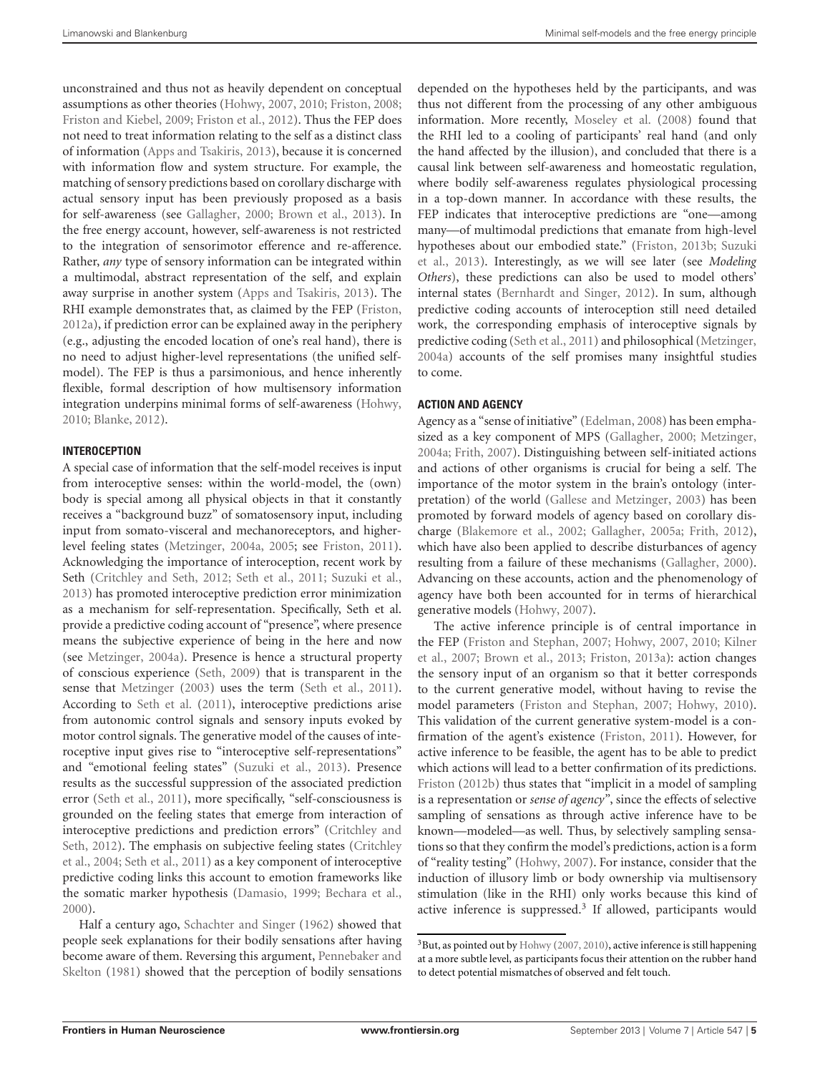unconstrained and thus not as heavily dependent on conceptual assumptions as other theories [\(Hohwy](#page-10-6), [2007,](#page-10-6) [2010;](#page-10-9) [Friston](#page-9-34), [2008;](#page-9-34) [Friston and Kiebel](#page-10-15), [2009](#page-10-15); [Friston et al.](#page-10-17), [2012\)](#page-10-17). Thus the FEP does not need to treat information relating to the self as a distinct class of information [\(Apps and Tsakiris](#page-9-8), [2013](#page-9-8)), because it is concerned with information flow and system structure. For example, the matching of sensory predictions based on corollary discharge with actual sensory input has been previously proposed as a basis for self-awareness (see [Gallagher](#page-10-33), [2000](#page-10-33); [Brown et al.](#page-9-35), [2013](#page-9-35)). In the free energy account, however, self-awareness is not restricted to the integration of sensorimotor efference and re-afference. Rather, *any* type of sensory information can be integrated within a multimodal, abstract representation of the self, and explain away surprise in another system [\(Apps and Tsakiris, 2013](#page-9-8)). The RHI example demonstrates that, as claimed by the FEP [\(Friston](#page-9-13), [2012a\)](#page-9-13), if prediction error can be explained away in the periphery (e.g., adjusting the encoded location of one's real hand), there is no need to adjust higher-level representations (the unified selfmodel). The FEP is thus a parsimonious, and hence inherently flexible, formal description of how multisensory information integration underpins minimal forms of self-awareness [\(Hohwy](#page-10-9), [2010;](#page-10-9) [Blanke, 2012](#page-9-4)).

# **INTEROCEPTION**

A special case of information that the self-model receives is input from interoceptive senses: within the world-model, the (own) body is special among all physical objects in that it constantly receives a "background buzz" of somatosensory input, including input from somato-visceral and mechanoreceptors, and higherlevel feeling states [\(Metzinger](#page-10-2), [2004a](#page-10-2), [2005;](#page-11-3) see [Friston, 2011](#page-9-6)). Acknowledging the importance of interoception, recent work by Seth [\(Critchley and Seth, 2012;](#page-9-20) [Seth et al., 2011](#page-11-8); [Suzuki et al.](#page-11-15), [2013\)](#page-11-15) has promoted interoceptive prediction error minimization as a mechanism for self-representation. Specifically, Seth et al. provide a predictive coding account of "presence", where presence means the subjective experience of being in the here and now (see [Metzinger](#page-10-2), [2004a](#page-10-2)). Presence is hence a structural property of conscious experience [\(Seth](#page-11-16), [2009\)](#page-11-16) that is transparent in the sense that [Metzinger](#page-10-10) [\(2003](#page-10-10)) uses the term [\(Seth et al.](#page-11-8), [2011](#page-11-8)). According to [Seth et al.](#page-11-8) [\(2011](#page-11-8)), interoceptive predictions arise from autonomic control signals and sensory inputs evoked by motor control signals. The generative model of the causes of interoceptive input gives rise to "interoceptive self-representations" and "emotional feeling states" [\(Suzuki et al., 2013\)](#page-11-15). Presence results as the successful suppression of the associated prediction error [\(Seth et al.](#page-11-8), [2011\)](#page-11-8), more specifically, "self-consciousness is grounded on the feeling states that emerge from interaction of inte[roceptive](#page-9-20) [predictions](#page-9-20) [and](#page-9-20) [prediction](#page-9-20) [errors"](#page-9-20) [\(](#page-9-20)Critchley and Seth[,](#page-9-36) [2012](#page-9-20)[\). The emphasis on subjective feeling states \(](#page-9-36)Critchley et al., [2004](#page-9-36); [Seth et al.](#page-11-8), [2011](#page-11-8)) as a key component of interoceptive predictive coding links this account to emotion frameworks like the somatic marker hypothesis [\(Damasio](#page-9-37), [1999](#page-9-37); [Bechara et al.](#page-9-38), [2000\)](#page-9-38).

Half a century ago, [Schachter and Singer](#page-11-17) [\(1962](#page-11-17)) showed that people seek explanations for their bodily sensations after having becom[e aware of them. Reversing this argument,](#page-11-18) Pennebaker and Skelton [\(1981\)](#page-11-18) showed that the perception of bodily sensations

depended on the hypotheses held by the participants, and was thus not different from the processing of any other ambiguous information. More recently, [Moseley et al.](#page-11-14) [\(2008](#page-11-14)) found that the RHI led to a cooling of participants' real hand (and only the hand affected by the illusion), and concluded that there is a causal link between self-awareness and homeostatic regulation, where bodily self-awareness regulates physiological processing in a top-down manner. In accordance with these results, the FEP indicates that interoceptive predictions are "one—among many—of multimodal predictions that emanate from high-level hypo[theses about our embodied state."](#page-11-15) [\(Friston](#page-10-19)[,](#page-11-15) [2013b](#page-10-19)[;](#page-11-15) Suzuki et al., [2013\)](#page-11-15). Interestingly, as we will see later (see *Modeling Others*), these predictions can also be used to model others' internal states [\(Bernhardt and Singer](#page-9-39), [2012](#page-9-39)). In sum, although predictive coding accounts of interoception still need detailed work, the corresponding emphasis of interoceptive signals by predictive coding [\(Seth et al., 2011](#page-11-8)) and philosophical [\(Metzinger](#page-10-2), [2004a\)](#page-10-2) accounts of the self promises many insightful studies to come.

# **ACTION AND AGENCY**

Agency as a "sense of initiative" [\(Edelman, 2008\)](#page-9-9) has been emphasized as a key component of MPS [\(Gallagher](#page-10-33), [2000](#page-10-33); [Metzinger](#page-10-2), [2004a;](#page-10-2) [Frith](#page-10-7), [2007](#page-10-7)). Distinguishing between self-initiated actions and actions of other organisms is crucial for being a self. The importance of the motor system in the brain's ontology (interpretation) of the world [\(Gallese and Metzinger](#page-10-12), [2003](#page-10-12)) has been promoted by forward models of agency based on corollary discharge [\(Blakemore et al.](#page-9-40), [2002](#page-9-40); [Gallagher](#page-10-0), [2005a;](#page-10-0) [Frith](#page-10-34), [2012\)](#page-10-34), which have also been applied to describe disturbances of agency resulting from a failure of these mechanisms [\(Gallagher, 2000\)](#page-10-33). Advancing on these accounts, action and the phenomenology of agency have both been accounted for in terms of hierarchical generative models [\(Hohwy](#page-10-6), [2007](#page-10-6)).

The active inference principle is of central importance in the [FEP](#page-10-21) [\(Friston and Stephan](#page-10-20)[,](#page-10-21) [2007](#page-10-20)[;](#page-10-21) [Hohwy](#page-10-6)[,](#page-10-21) [2007](#page-10-6)[,](#page-10-21) [2010](#page-10-9)[;](#page-10-21) Kilner et al., [2007](#page-10-21); [Brown et al.](#page-9-35), [2013](#page-9-35); [Friston, 2013a\)](#page-10-23): action changes the sensory input of an organism so that it better corresponds to the current generative model, without having to revise the model parameters [\(Friston and Stephan](#page-10-20), [2007;](#page-10-20) [Hohwy](#page-10-9), [2010\)](#page-10-9). This validation of the current generative system-model is a confirmation of the agent's existence [\(Friston](#page-9-6), [2011](#page-9-6)). However, for active inference to be feasible, the agent has to be able to predict which actions will lead to a better confirmation of its predictions. [Friston](#page-10-18) [\(2012b](#page-10-18)) thus states that "implicit in a model of sampling is a representation or *sense of agency"*, since the effects of selective sampling of sensations as through active inference have to be known—modeled—as well. Thus, by selectively sampling sensations so that they confirm the model's predictions, action is a form of "reality testing" [\(Hohwy, 2007\)](#page-10-6). For instance, consider that the induction of illusory limb or body ownership via multisensory stimulation (like in the RHI) only works because this kind of active inference is suppressed. $3$  If allowed, participants would

<span id="page-4-0"></span><sup>&</sup>lt;sup>3</sup>But, as pointed out by [Hohwy](#page-10-6) [\(2007](#page-10-6), [2010\)](#page-10-9), active inference is still happening at a more subtle level, as participants focus their attention on the rubber hand to detect potential mismatches of observed and felt touch.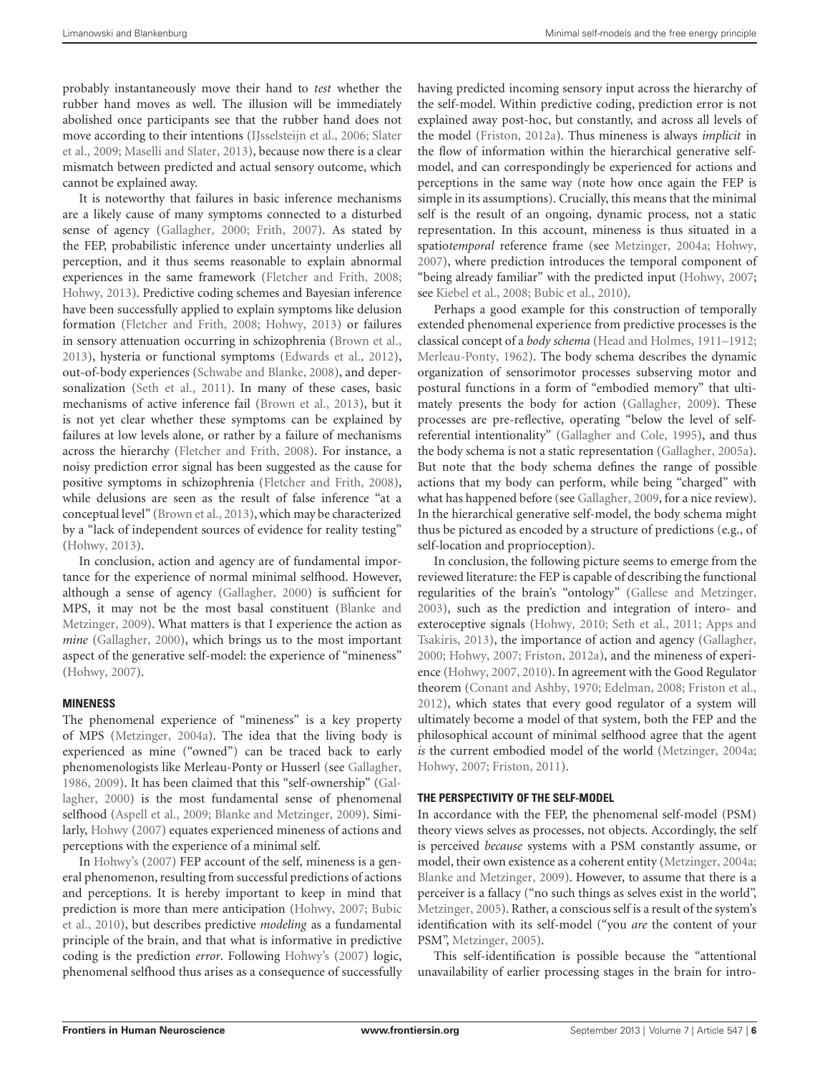probably instantaneously move their hand to *test* whether the rubber hand moves as well. The illusion will be immediately abolished once participants see that the rubber hand does not mov[e according to their intentions](#page-11-19) [\(IJsselsteijn et al.](#page-10-29)[,](#page-11-19) [2006](#page-10-29)[;](#page-11-19) Slater et al., [2009;](#page-11-19) [Maselli and Slater](#page-10-35), [2013](#page-10-35)), because now there is a clear mismatch between predicted and actual sensory outcome, which cannot be explained away.

It is noteworthy that failures in basic inference mechanisms are a likely cause of many symptoms connected to a disturbed sense of agency [\(Gallagher](#page-10-33), [2000](#page-10-33); [Frith](#page-10-7), [2007\)](#page-10-7). As stated by the FEP, probabilistic inference under uncertainty underlies all perception, and it thus seems reasonable to explain abnormal experiences in the same framework [\(Fletcher and Frith, 2008;](#page-9-41) [Hohwy, 2013\)](#page-10-36). Predictive coding schemes and Bayesian inference have been successfully applied to explain symptoms like delusion formation [\(Fletcher and Frith, 2008;](#page-9-41) [Hohwy](#page-10-36), [2013\)](#page-10-36) or failures in sensory attenuation occurring in schizophrenia [\(Brown et al.](#page-9-35), [2013\)](#page-9-35), hysteria or functional symptoms [\(Edwards et al., 2012](#page-9-19)), out-of-body experiences [\(Schwabe and Blanke](#page-11-11), [2008\)](#page-11-11), and depersonalization [\(Seth et al., 2011\)](#page-11-8). In many of these cases, basic mechanisms of active inference fail [\(Brown et al., 2013\)](#page-9-35), but it is not yet clear whether these symptoms can be explained by failures at low levels alone, or rather by a failure of mechanisms across the hierarchy [\(Fletcher and Frith, 2008\)](#page-9-41). For instance, a noisy prediction error signal has been suggested as the cause for positive symptoms in schizophrenia [\(Fletcher and Frith](#page-9-41), [2008](#page-9-41)), while delusions are seen as the result of false inference "at a conceptual level" [\(Brown et al., 2013](#page-9-35)), which may be characterized by a "lack of independent sources of evidence for reality testing" [\(Hohwy](#page-10-36), [2013\)](#page-10-36).

In conclusion, action and agency are of fundamental importance for the experience of normal minimal selfhood. However, although a sense of agency [\(Gallagher](#page-10-33), [2000](#page-10-33)) is sufficient for MPS, it [may not be the most basal constituent \(](#page-9-0)Blanke and Metzinger, [2009\)](#page-9-0). What matters is that I experience the action as *mine* [\(Gallagher](#page-10-33), [2000\)](#page-10-33), which brings us to the most important aspect of the generative self-model: the experience of "mineness" [\(Hohwy](#page-10-6), [2007\)](#page-10-6).

## **MINENESS**

The phenomenal experience of "mineness" is a key property of MPS [\(Metzinger](#page-10-2), [2004a](#page-10-2)). The idea that the living body is experienced as mine ("owned") can be traced back to early phenomenologists like Merleau-Ponty or Husserl (see [Gallagher](#page-10-37), [1986,](#page-10-37) [2009](#page-10-38)[\). It has been claimed that this "self-ownership" \(](#page-10-33)Gallagher, [2000](#page-10-33)) is the most fundamental sense of phenomenal selfhood [\(Aspell et al.](#page-9-42), [2009](#page-9-42); [Blanke and Metzinger](#page-9-0), [2009\)](#page-9-0). Similarly, [Hohwy](#page-10-6) [\(2007](#page-10-6)) equates experienced mineness of actions and perceptions with the experience of a minimal self.

In [Hohwy](#page-10-6)'s [\(2007\)](#page-10-6) FEP account of the self, mineness is a general phenomenon, resulting from successful predictions of actions and perceptions. It is hereby important to keep in mind that pred[iction is more than mere anticipation](#page-9-12) [\(Hohwy](#page-10-6)[,](#page-9-12) [2007;](#page-10-6) Bubic et al., [2010](#page-9-12)), but describes predictive *modeling* as a fundamental principle of the brain, and that what is informative in predictive coding is the prediction *error*. Following [Hohwy'](#page-10-6)s [\(2007](#page-10-6)) logic, phenomenal selfhood thus arises as a consequence of successfully having predicted incoming sensory input across the hierarchy of the self-model. Within predictive coding, prediction error is not explained away post-hoc, but constantly, and across all levels of the model [\(Friston](#page-9-13), [2012a\)](#page-9-13). Thus mineness is always *implicit* in the flow of information within the hierarchical generative selfmodel, and can correspondingly be experienced for actions and perceptions in the same way (note how once again the FEP is simple in its assumptions). Crucially, this means that the minimal self is the result of an ongoing, dynamic process, not a static representation. In this account, mineness is thus situated in a spatio*temporal* reference frame (see [Metzinger, 2004a;](#page-10-2) [Hohwy](#page-10-6), [2007](#page-10-6)), where prediction introduces the temporal component of "being already familiar" with the predicted input [\(Hohwy, 2007](#page-10-6); see [Kiebel et al., 2008](#page-10-39); [Bubic et al., 2010](#page-9-12)).

Perhaps a good example for this construction of temporally extended phenomenal experience from predictive processes is the classical concept of a *body schema* [\(Head and Holmes, 1911–1912](#page-10-40); [Merleau-Ponty](#page-10-3), [1962\)](#page-10-3). The body schema describes the dynamic organization of sensorimotor processes subserving motor and postural functions in a form of "embodied memory" that ultimately presents the body for action [\(Gallagher](#page-10-38), [2009](#page-10-38)). These processes are pre-reflective, operating "below the level of selfreferential intentionality" [\(Gallagher and Cole, 1995](#page-10-41)), and thus the body schema is not a static representation [\(Gallagher, 2005a\)](#page-10-0). But note that the body schema defines the range of possible actions that my body can perform, while being "charged" with what has happened before (see [Gallagher](#page-10-38), [2009,](#page-10-38) for a nice review). In the hierarchical generative self-model, the body schema might thus be pictured as encoded by a structure of predictions (e.g., of self-location and proprioception).

In conclusion, the following picture seems to emerge from the reviewed literature: the FEP is capable of describing the functional regularities of the brain's "ontology" [\(Gallese and Metzinger](#page-10-12), [2003](#page-10-12)), such as the prediction and integration of intero- and exteroc[eptive signals](#page-9-8) [\(Hohwy](#page-10-9)[,](#page-9-8) [2010](#page-10-9)[;](#page-9-8) [Seth et al.](#page-11-8)[,](#page-9-8) [2011](#page-11-8)[;](#page-9-8) Apps and Tsakiris, [2013](#page-9-8)), the importance of action and agency [\(Gallagher](#page-10-33), [2000](#page-10-33); [Hohwy](#page-10-6), [2007](#page-10-6); [Friston](#page-9-13), [2012a](#page-9-13)), and the mineness of experience [\(Hohwy, 2007](#page-10-6), [2010\)](#page-10-9). In agreement with the Good Regulator theorem [\(Conant and Ashby, 1970](#page-9-16); [Edelman, 2008](#page-9-9); [Friston et al.](#page-10-17), [2012](#page-10-17)), which states that every good regulator of a system will ultimately become a model of that system, both the FEP and the philosophical account of minimal selfhood agree that the agent *is* the current embodied model of the world [\(Metzinger](#page-10-2), [2004a](#page-10-2); [Hohwy](#page-10-6), [2007](#page-10-6); [Friston, 2011](#page-9-6)).

## **THE PERSPECTIVITY OF THE SELF-MODEL**

In accordance with the FEP, the phenomenal self-model (PSM) theory views selves as processes, not objects. Accordingly, the self is perceived *because* systems with a PSM constantly assume, or model, their own existence as a coherent entity [\(Metzinger, 2004a](#page-10-2); [Blanke and Metzinger, 2009](#page-9-0)). However, to assume that there is a perceiver is a fallacy ("no such things as selves exist in the world", [Metzinger, 2005\)](#page-11-3). Rather, a conscious self is a result of the system's identification with its self-model ("you *are* the content of your PSM", [Metzinger, 2005\)](#page-11-3).

This self-identification is possible because the "attentional unavailability of earlier processing stages in the brain for intro-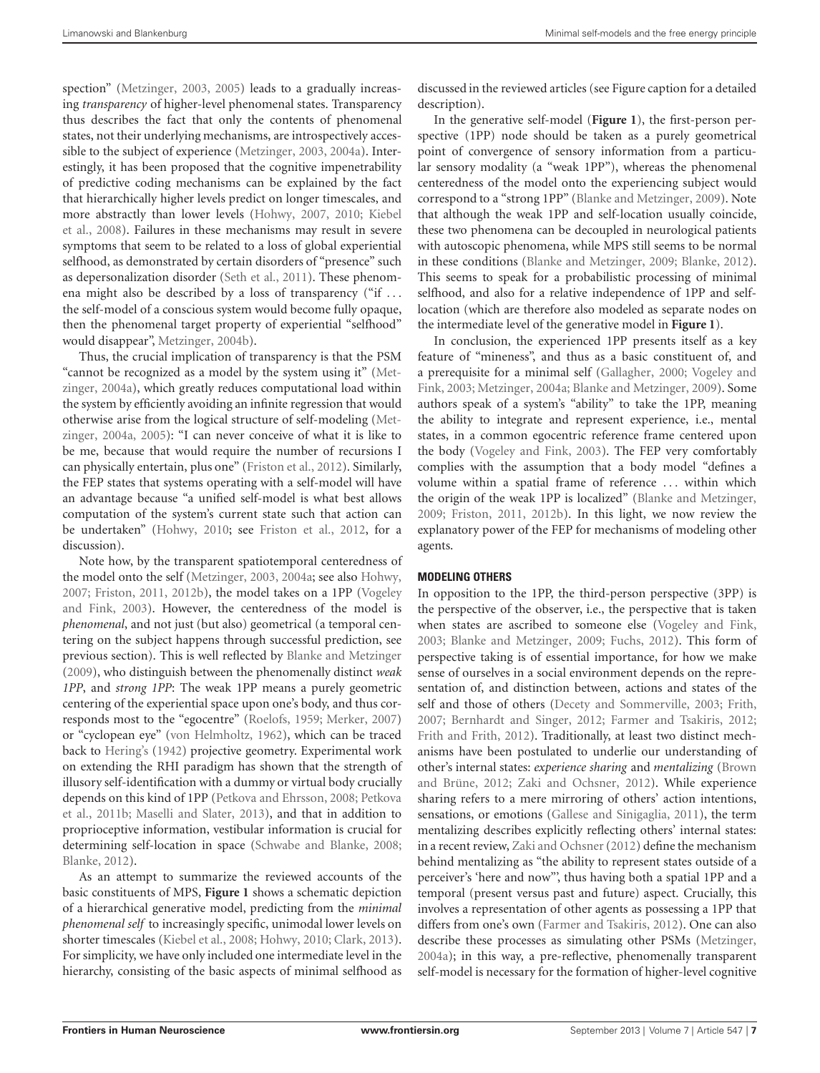spection" [\(Metzinger](#page-10-10), [2003](#page-10-10), [2005](#page-11-3)) leads to a gradually increasing *transparency* of higher-level phenomenal states. Transparency thus describes the fact that only the contents of phenomenal states, not their underlying mechanisms, are introspectively accessible to the subject of experience [\(Metzinger](#page-10-10), [2003](#page-10-10), [2004a\)](#page-10-2). Interestingly, it has been proposed that the cognitive impenetrability of predictive coding mechanisms can be explained by the fact that hierarchically higher levels predict on longer timescales, and mor[e abstractly than lower levels](#page-10-39) [\(Hohwy](#page-10-6)[,](#page-10-39) [2007](#page-10-6)[,](#page-10-39) [2010](#page-10-9)[;](#page-10-39) Kiebel et al., [2008](#page-10-39)). Failures in these mechanisms may result in severe symptoms that seem to be related to a loss of global experiential selfhood, as demonstrated by certain disorders of "presence" such as depersonalization disorder [\(Seth et al.](#page-11-8), [2011](#page-11-8)). These phenomena might also be described by a loss of transparency ("if ... the self-model of a conscious system would become fully opaque, then the phenomenal target property of experiential "selfhood" would disappear", [Metzinger](#page-10-11), [2004b\)](#page-10-11).

Thus, the crucial implication of transparency is that the PSM "cann[ot be recognized as a model by the system using it" \(](#page-10-2)Metzinger, [2004a\)](#page-10-2), which greatly reduces computational load within the system by efficiently avoiding an infinite regression that would other[wise arise from the logical structure of self-modeling \(](#page-10-2)Metzinger, [2004a,](#page-10-2) [2005](#page-11-3)): "I can never conceive of what it is like to be me, because that would require the number of recursions I can physically entertain, plus one" [\(Friston et al., 2012\)](#page-10-17). Similarly, the FEP states that systems operating with a self-model will have an advantage because "a unified self-model is what best allows computation of the system's current state such that action can be undertaken" [\(Hohwy, 2010](#page-10-9); see [Friston et al.](#page-10-17), [2012](#page-10-17), for a discussion).

Note how, by the transparent spatiotemporal centeredness of the model onto the self [\(Metzinger](#page-10-10), [2003,](#page-10-10) [2004a;](#page-10-2) see also [Hohwy](#page-10-6), [2007;](#page-10-6) [Friston](#page-9-6)[,](#page-11-2) [2011,](#page-9-6) [2012b](#page-10-18)[\), the model takes on a 1PP \(](#page-11-2)Vogeley and Fink, [2003](#page-11-2)). However, the centeredness of the model is *phenomenal*, and not just (but also) geometrical (a temporal centering on the subject happens through successful prediction, see previous section). This is well reflected by [Blanke and Metzinger](#page-9-0) [\(2009](#page-9-0)), who distinguish between the phenomenally distinct *weak 1PP*, and *strong 1PP*: The weak 1PP means a purely geometric centering of the experiential space upon one's body, and thus corresponds most to the "egocentre" [\(Roelofs, 1959](#page-11-20); [Merker, 2007](#page-10-42)) or "cyclopean eye" [\(von Helmholtz](#page-11-21), [1962](#page-11-21)), which can be traced back to [Hering's](#page-10-43) [\(1942](#page-10-43)) projective geometry. Experimental work on extending the RHI paradigm has shown that the strength of illusory self-identification with a dummy or virtual body crucially depe[nds on this kind of 1PP](#page-11-23) [\(Petkova and Ehrsson](#page-11-22)[,](#page-11-23) [2008](#page-11-22)[;](#page-11-23) Petkova et al., [2011b](#page-11-23); [Maselli and Slater](#page-10-35), [2013](#page-10-35)), and that in addition to proprioceptive information, vestibular information is crucial for determining self-location in space [\(Schwabe and Blanke](#page-11-11), [2008;](#page-11-11) [Blanke](#page-9-4), [2012\)](#page-9-4).

As an attempt to summarize the reviewed accounts of the basic constituents of MPS, **[Figure 1](#page-7-0)** shows a schematic depiction of a hierarchical generative model, predicting from the *minimal phenomenal self* to increasingly specific, unimodal lower levels on shorter timescales [\(Kiebel et al., 2008](#page-10-39); [Hohwy, 2010](#page-10-9); [Clark, 2013](#page-9-11)). For simplicity, we have only included one intermediate level in the hierarchy, consisting of the basic aspects of minimal selfhood as

discussed in the reviewed articles (see Figure caption for a detailed description).

In the generative self-model (**[Figure 1](#page-7-0)**), the first-person perspective (1PP) node should be taken as a purely geometrical point of convergence of sensory information from a particular sensory modality (a "weak 1PP"), whereas the phenomenal centeredness of the model onto the experiencing subject would correspond to a "strong 1PP" [\(Blanke and Metzinger, 2009](#page-9-0)). Note that although the weak 1PP and self-location usually coincide, these two phenomena can be decoupled in neurological patients with autoscopic phenomena, while MPS still seems to be normal in these conditions [\(Blanke and Metzinger](#page-9-0), [2009;](#page-9-0) [Blanke, 2012\)](#page-9-4). This seems to speak for a probabilistic processing of minimal selfhood, and also for a relative independence of 1PP and selflocation (which are therefore also modeled as separate nodes on the intermediate level of the generative model in **[Figure 1](#page-7-0)**).

In conclusion, the experienced 1PP presents itself as a key feature of "mineness", and thus as a basic constituent of, and a pr[erequisite for a minimal self](#page-11-2) [\(Gallagher](#page-10-33)[,](#page-11-2) [2000](#page-10-33)[;](#page-11-2) Vogeley and Fink, [2003;](#page-11-2) [Metzinger](#page-10-2), [2004a;](#page-10-2) [Blanke and Metzinger](#page-9-0), [2009\)](#page-9-0). Some authors speak of a system's "ability" to take the 1PP, meaning the ability to integrate and represent experience, i.e., mental states, in a common egocentric reference frame centered upon the body [\(Vogeley and Fink, 2003\)](#page-11-2). The FEP very comfortably complies with the assumption that a body model "defines a volume within a spatial frame of reference ... within which the origin of the weak 1PP is localized" [\(Blanke and Metzinger](#page-9-0), [2009](#page-9-0); [Friston, 2011,](#page-9-6) [2012b](#page-10-18)). In this light, we now review the explanatory power of the FEP for mechanisms of modeling other agents.

## **MODELING OTHERS**

In opposition to the 1PP, the third-person perspective (3PP) is the perspective of the observer, i.e., the perspective that is taken when states are ascribed to someone else [\(Vogeley and Fink](#page-11-2), [2003](#page-11-2); [Blanke and Metzinger, 2009](#page-9-0); [Fuchs](#page-10-44), [2012](#page-10-44)). This form of perspective taking is of essential importance, for how we make sense of ourselves in a social environment depends on the representation of, and distinction between, actions and states of the self and those of others [\(Decety and Sommerville, 2003;](#page-9-43) [Frith](#page-10-7), [2007](#page-10-7); [Bernhardt and Singer, 2012](#page-9-39); [Farmer and Tsakiris, 2012](#page-9-7); [Frith and Frith](#page-10-45), [2012\)](#page-10-45). Traditionally, at least two distinct mechanisms have been postulated to underlie our understanding of other's internal states: *[experience sharing](#page-9-18)* and *mentalizing* (Brown and Brüne, [2012;](#page-9-18) [Zaki and Ochsner, 2012](#page-11-24)). While experience sharing refers to a mere mirroring of others' action intentions, sensations, or emotions [\(Gallese and Sinigaglia](#page-10-5), [2011\)](#page-10-5), the term mentalizing describes explicitly reflecting others' internal states: in a recent review, Zaki and Ochsner (2012) define the mechanism behind mentalizing as "the ability to represent states outside of a perceiver's 'here and now"', thus having both a spatial 1PP and a temporal (present versus past and future) aspect. Crucially, this involves a representation of other agents as possessing a 1PP that differs from one's own [\(Farmer and Tsakiris, 2012\)](#page-9-7). One can also describe these processes as simulating other PSMs [\(Metzinger](#page-10-2), [2004a\)](#page-10-2); in this way, a pre-reflective, phenomenally transparent self-model is necessary for the formation of higher-level cognitive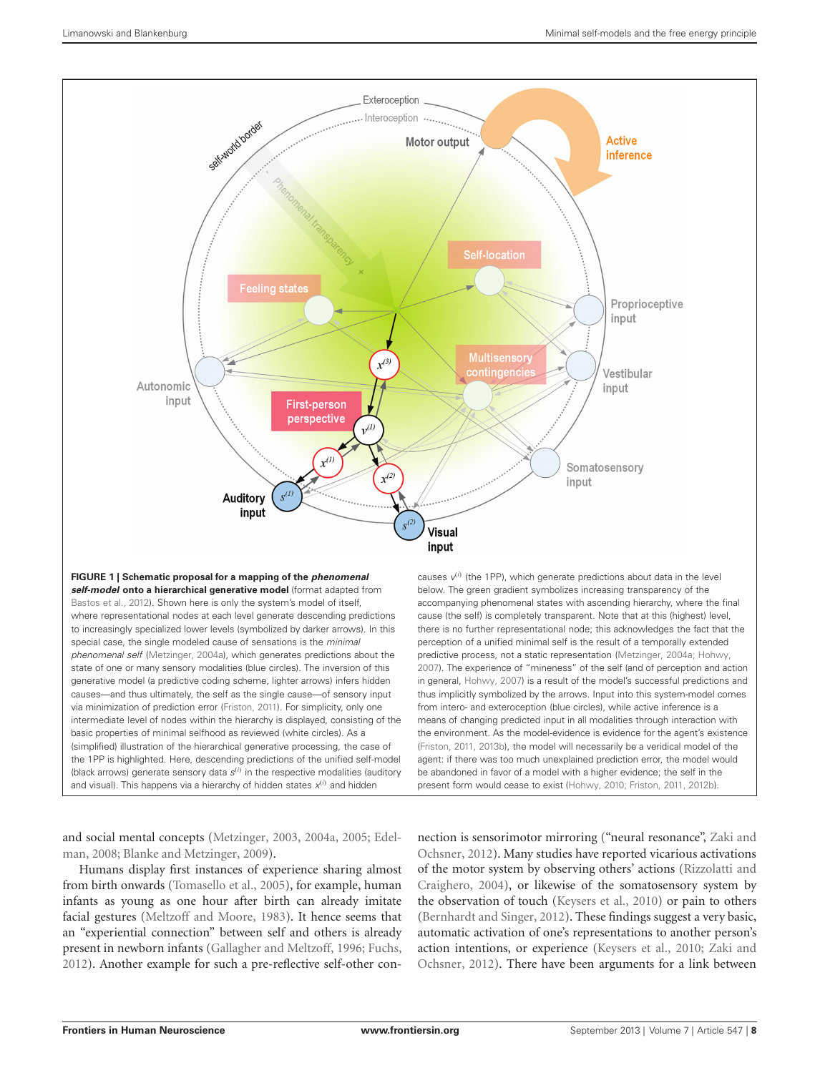

<span id="page-7-0"></span>generative model (a predictive coding scheme, lighter arrows) infers hidden causes—and thus ultimately, the self as the single cause—of sensory input via minimization of prediction error [\(Friston](#page-9-6), [2011](#page-9-6)). For simplicity, only one intermediate level of nodes within the hierarchy is displayed, consisting of the basic properties of minimal selfhood as reviewed (white circles). As a (simplified) illustration of the hierarchical generative processing, the case of the 1PP is highlighted. Here, descending predictions of the unified self-model (black arrows) generate sensory data *s*(*i*) in the respective modalities (auditory and visual). This happens via a hierarchy of hidden states  $x^{(i)}$  and hidden

and [social mental concepts](#page-9-9) [\(Metzinger](#page-10-10)[,](#page-9-9) [2003](#page-10-10)[,](#page-9-9) [2004a,](#page-10-2) [2005](#page-11-3)[;](#page-9-9) Edelman, [2008](#page-9-9); [Blanke and Metzinger](#page-9-0), [2009\)](#page-9-0).

Humans display first instances of experience sharing almost from birth onwards [\(Tomasello et al.](#page-11-25), [2005](#page-11-25)), for example, human infants as young as one hour after birth can already imitate facial gestures [\(Meltzoff and Moore, 1983](#page-10-46)). It hence seems that an "experiential connection" between self and others is already present in newborn infants [\(Gallagher and Meltzoff](#page-10-47), [1996;](#page-10-47) [Fuchs,](#page-10-44) [2012\)](#page-10-44). Another example for such a pre-reflective self-other conin general, [Hohwy](#page-10-6), [2007\)](#page-10-6) is a result of the model's successful predictions and thus implicitly symbolized by the arrows. Input into this system-model comes from intero- and exteroception (blue circles), while active inference is a means of changing predicted input in all modalities through interaction with the environment. As the model-evidence is evidence for the agent's existence [\(Friston, 2011](#page-9-6), [2013b](#page-10-19)), the model will necessarily be a veridical model of the agent: if there was too much unexplained prediction error, the model would be abandoned in favor of a model with a higher evidence; the self in the present form would cease to exist [\(Hohwy, 2010](#page-10-9); [Friston](#page-9-6), [2011](#page-9-6), [2012b\)](#page-10-18).

nection [is sensorimotor mirroring \("neural resonance",](#page-11-24) Zaki and Ochsner, [2012\)](#page-11-24). Many studies have reported vicarious activations of the m[otor system by observing others' actions \(](#page-11-26)Rizzolatti and Craighero, [2004\)](#page-11-26), or likewise of the somatosensory system by the observation of touch [\(Keysers et al.](#page-10-48), [2010\)](#page-10-48) or pain to others [\(Bernhardt and Singer, 2012](#page-9-39)). These findings suggest a very basic, automatic activation of one's representations to another person's action i[ntentions, or experience](#page-11-24) [\(Keysers et al.](#page-10-48)[,](#page-11-24) [2010](#page-10-48)[;](#page-11-24) Zaki and Ochsner, [2012\)](#page-11-24). There have been arguments for a link between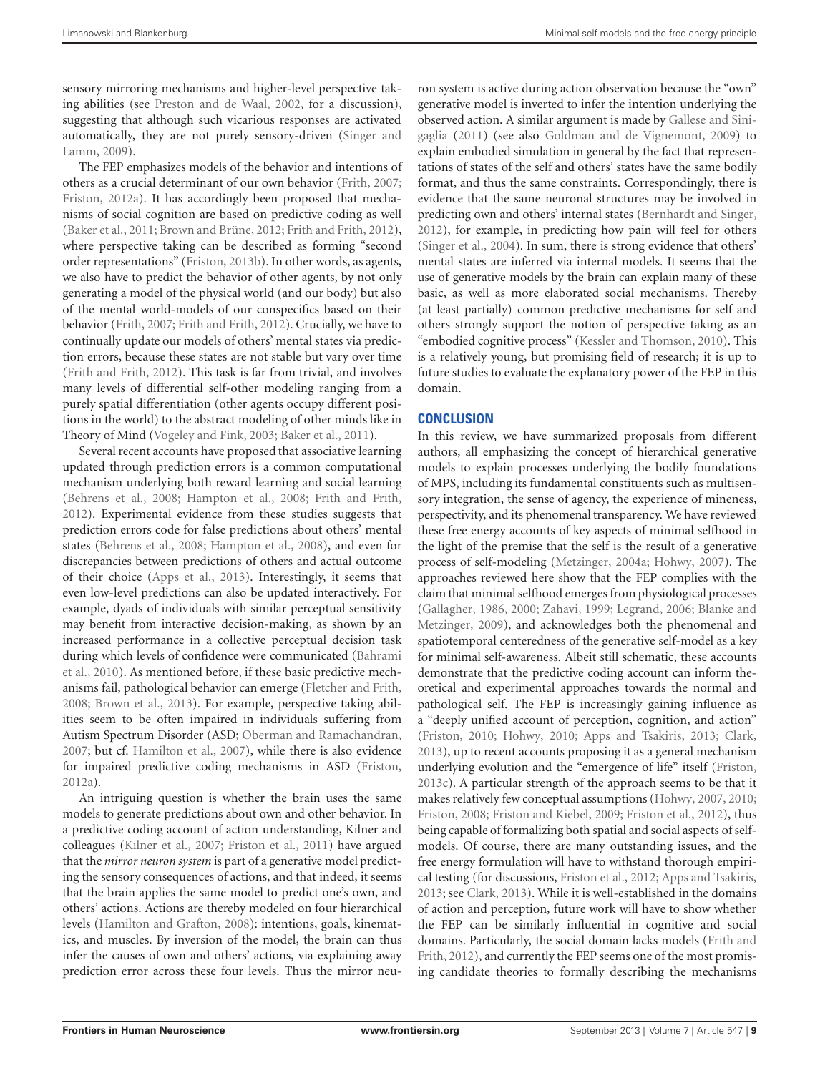sensory mirroring mechanisms and higher-level perspective taking abilities (see [Preston and de Waal](#page-11-27), [2002](#page-11-27), for a discussion), suggesting that although such vicarious responses are activated auto[matically, they are not purely sensory-driven \(](#page-11-28)Singer and Lamm, [2009\)](#page-11-28).

The FEP emphasizes models of the behavior and intentions of others as a crucial determinant of our own behavior [\(Frith, 2007;](#page-10-7) [Friston](#page-9-13), [2012a\)](#page-9-13). It has accordingly been proposed that mechanisms of social cognition are based on predictive coding as well [\(Baker et al., 2011;](#page-9-44) [Brown and Brüne](#page-9-18), [2012](#page-9-18); [Frith and Frith, 2012](#page-10-45)), where perspective taking can be described as forming "second order representations" [\(Friston](#page-10-19), [2013b](#page-10-19)). In other words, as agents, we also have to predict the behavior of other agents, by not only generating a model of the physical world (and our body) but also of the mental world-models of our conspecifics based on their behavior [\(Frith, 2007](#page-10-7); [Frith and Frith, 2012](#page-10-45)). Crucially, we have to continually update our models of others' mental states via prediction errors, because these states are not stable but vary over time [\(Frith and Frith](#page-10-45), [2012](#page-10-45)). This task is far from trivial, and involves many levels of differential self-other modeling ranging from a purely spatial differentiation (other agents occupy different positions in the world) to the abstract modeling of other minds like in Theory of Mind [\(Vogeley and Fink, 2003](#page-11-2); [Baker et al., 2011](#page-9-44)).

Several recent accounts have proposed that associative learning updated through prediction errors is a common computational mechanism underlying both reward learning and social learning [\(Behrens et al.](#page-9-45), [2008;](#page-9-45) [Hampton et al.](#page-10-49), [2008;](#page-10-49) [Frith and Frith](#page-10-45), [2012\)](#page-10-45). Experimental evidence from these studies suggests that prediction errors code for false predictions about others' mental states [\(Behrens et al.](#page-9-45), [2008;](#page-9-45) [Hampton et al.](#page-10-49), [2008\)](#page-10-49), and even for discrepancies between predictions of others and actual outcome of their choice [\(Apps et al.](#page-9-46), [2013](#page-9-46)). Interestingly, it seems that even low-level predictions can also be updated interactively. For example, dyads of individuals with similar perceptual sensitivity may benefit from interactive decision-making, as shown by an increased performance in a collective perceptual decision task duri[ng which levels of confidence were communicated \(](#page-9-47)Bahrami et al., [2010](#page-9-47)). As mentioned before, if these basic predictive mechanisms fail, pathological behavior can emerge [\(Fletcher and Frith](#page-9-41), [2008;](#page-9-41) [Brown et al.](#page-9-35), [2013\)](#page-9-35). For example, perspective taking abilities seem to be often impaired in individuals suffering from Autism Spectrum Disorder (ASD; [Oberman and Ramachandran](#page-11-29), [2007;](#page-11-29) but cf. [Hamilton et al., 2007](#page-10-50)), while there is also evidence for impaired predictive coding mechanisms in ASD [\(Friston](#page-9-13), [2012a\)](#page-9-13).

An intriguing question is whether the brain uses the same models to generate predictions about own and other behavior. In a predictive coding account of action understanding, Kilner and colleagues [\(Kilner et al.](#page-10-21), [2007](#page-10-21); [Friston et al., 2011\)](#page-10-16) have argued that the *mirror neuron system* is part of a generative model predicting the sensory consequences of actions, and that indeed, it seems that the brain applies the same model to predict one's own, and others' actions. Actions are thereby modeled on four hierarchical levels [\(Hamilton and Grafton](#page-10-51), [2008](#page-10-51)): intentions, goals, kinematics, and muscles. By inversion of the model, the brain can thus infer the causes of own and others' actions, via explaining away prediction error across these four levels. Thus the mirror neu-

ron system is active during action observation because the "own" generative model is inverted to infer the intention underlying the obser[ved](#page-10-5) [action.](#page-10-5) [A](#page-10-5) [similar](#page-10-5) [argument](#page-10-5) [is](#page-10-5) [made](#page-10-5) [by](#page-10-5) Gallese and Sinigaglia [\(2011\)](#page-10-5) (see also [Goldman and de Vignemont](#page-10-52), [2009](#page-10-52)) to explain embodied simulation in general by the fact that representations of states of the self and others' states have the same bodily format, and thus the same constraints. Correspondingly, there is evidence that the same neuronal structures may be involved in predicting own and others' internal states [\(Bernhardt and Singer](#page-9-39), [2012](#page-9-39)), for example, in predicting how pain will feel for others [\(Singer et al.](#page-11-30), [2004](#page-11-30)). In sum, there is strong evidence that others' mental states are inferred via internal models. It seems that the use of generative models by the brain can explain many of these basic, as well as more elaborated social mechanisms. Thereby (at least partially) common predictive mechanisms for self and others strongly support the notion of perspective taking as an "embodied cognitive process" [\(Kessler and Thomson, 2010\)](#page-10-53). This is a relatively young, but promising field of research; it is up to future studies to evaluate the explanatory power of the FEP in this domain.

# **CONCLUSION**

In this review, we have summarized proposals from different authors, all emphasizing the concept of hierarchical generative models to explain processes underlying the bodily foundations of MPS, including its fundamental constituents such as multisensory integration, the sense of agency, the experience of mineness, perspectivity, and its phenomenal transparency. We have reviewed these free energy accounts of key aspects of minimal selfhood in the light of the premise that the self is the result of a generative process of self-modeling [\(Metzinger, 2004a;](#page-10-2) [Hohwy](#page-10-6), [2007\)](#page-10-6). The approaches reviewed here show that the FEP complies with the claim that minimal selfhood emerges from physiological processes [\(Gallagher](#page-10-37)[,](#page-9-0) [1986](#page-10-37)[,](#page-9-0) [2000](#page-10-33)[;](#page-9-0) [Zahavi](#page-11-0)[,](#page-9-0) [1999](#page-11-0)[;](#page-9-0) [Legrand](#page-10-4)[,](#page-9-0) [2006](#page-10-4)[;](#page-9-0) Blanke and Metzinger, [2009\)](#page-9-0), and acknowledges both the phenomenal and spatiotemporal centeredness of the generative self-model as a key for minimal self-awareness. Albeit still schematic, these accounts demonstrate that the predictive coding account can inform theoretical and experimental approaches towards the normal and pathological self. The FEP is increasingly gaining influence as a "deeply unified account of perception, cognition, and action" [\(Friston, 2010;](#page-9-1) [Hohwy](#page-10-9), [2010](#page-10-9); [Apps and Tsakiris](#page-9-8), [2013;](#page-9-8) [Clark](#page-9-11), [2013](#page-9-11)), up to recent accounts proposing it as a general mechanism underlying evolution and the "emergence of life" itself [\(Friston](#page-10-54), [2013c](#page-10-54)). A particular strength of the approach seems to be that it makes relatively few conceptual assumptions [\(Hohwy, 2007](#page-10-6), [2010](#page-10-9); [Friston](#page-9-34), [2008](#page-9-34); [Friston and Kiebel](#page-10-15), [2009](#page-10-15); [Friston et al.](#page-10-17), [2012](#page-10-17)), thus being capable of formalizing both spatial and social aspects of selfmodels. Of course, there are many outstanding issues, and the free energy formulation will have to withstand thorough empirical testing (for discussions, [Friston et al., 2012](#page-10-17); [Apps and Tsakiris](#page-9-8), [2013](#page-9-8); see [Clark](#page-9-11), [2013\)](#page-9-11). While it is well-established in the domains of action and perception, future work will have to show whether the FEP can be similarly influential in cognitive and social dom[ains. Particularly, the social domain lacks models \(](#page-10-45)Frith and Frith, [2012](#page-10-45)), and currently the FEP seems one of the most promising candidate theories to formally describing the mechanisms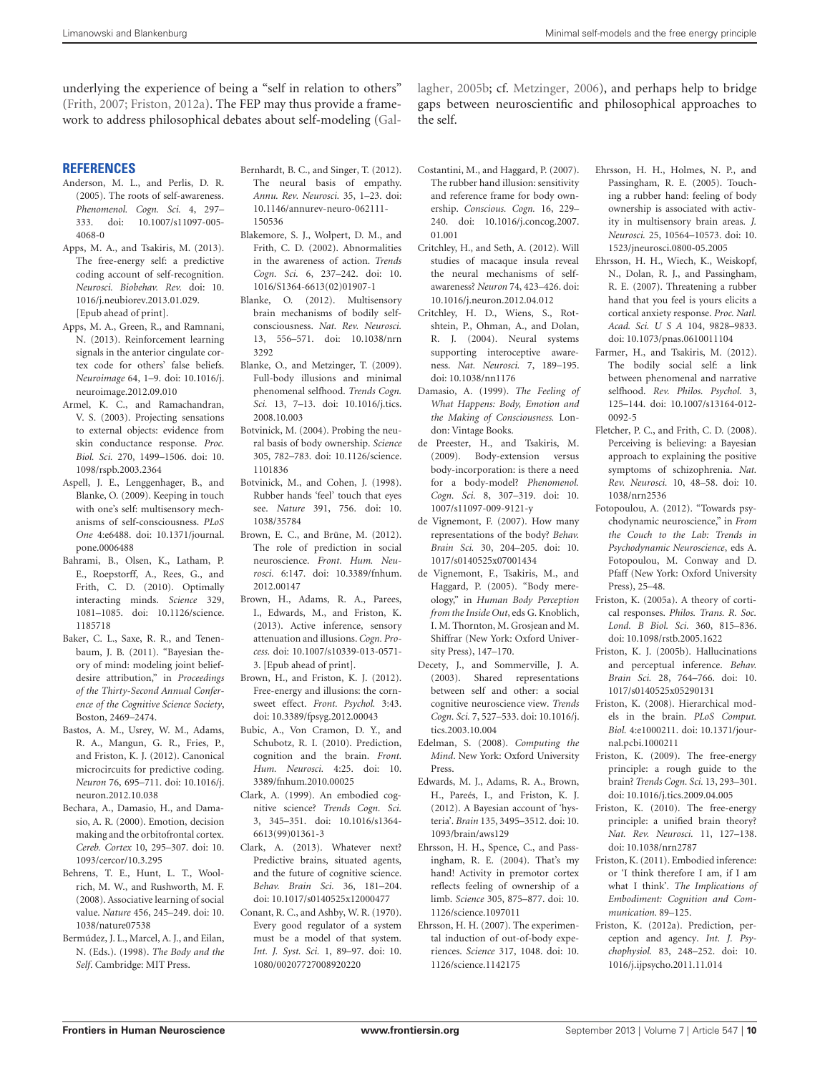underlying the experience of being a "self in relation to others" [\(Frith, 2007](#page-10-7); [Friston](#page-9-13), [2012a\)](#page-9-13). The FEP may thus provide a framework to address philosophical debates about self-modeling [\(Gal-](#page-10-55) lagher, [2005b](#page-10-55); cf. [Metzinger](#page-11-31), [2006](#page-11-31)), and perhaps help to bridge gaps between neuroscientific and philosophical approaches to the self.

#### **REFERENCES**

- <span id="page-9-3"></span>Anderson, M. L., and Perlis, D. R. (2005). The roots of self-awareness. *Phenomenol. Cogn. Sci.* 4, 297– 333. doi: 10.1007/s11097-005- 4068-0
- <span id="page-9-8"></span>Apps, M. A., and Tsakiris, M. (2013). The free-energy self: a predictive coding account of self-recognition. *Neurosci. Biobehav. Rev.* doi: 10. 1016/j.neubiorev.2013.01.029. [Epub ahead of print].
- <span id="page-9-46"></span>Apps, M. A., Green, R., and Ramnani, N. (2013). Reinforcement learning signals in the anterior cingulate cortex code for others' false beliefs. *Neuroimage* 64, 1–9. doi: 10.1016/j. neuroimage.2012.09.010
- <span id="page-9-24"></span>Armel, K. C., and Ramachandran, V. S. (2003). Projecting sensations to external objects: evidence from skin conductance response. *Proc. Biol. Sci.* 270, 1499–1506. doi: 10. 1098/rspb.2003.2364
- <span id="page-9-42"></span>Aspell, J. E., Lenggenhager, B., and Blanke, O. (2009). Keeping in touch with one's self: multisensory mechanisms of self-consciousness. *PLoS One* 4:e6488. doi: 10.1371/journal. pone.0006488
- <span id="page-9-47"></span>Bahrami, B., Olsen, K., Latham, P. E., Roepstorff, A., Rees, G., and Frith, C. D. (2010). Optimally interacting minds. *Science* 329, 1081–1085. doi: 10.1126/science. 1185718
- <span id="page-9-44"></span>Baker, C. L., Saxe, R. R., and Tenenbaum, J. B. (2011). "Bayesian theory of mind: modeling joint beliefdesire attribution," in *Proceedings of the Thirty-Second Annual Conference of the Cognitive Science Society*, Boston, 2469–2474.
- <span id="page-9-14"></span>Bastos, A. M., Usrey, W. M., Adams, R. A., Mangun, G. R., Fries, P., and Friston, K. J. (2012). Canonical microcircuits for predictive coding. *Neuron* 76, 695–711. doi: 10.1016/j. neuron.2012.10.038
- <span id="page-9-38"></span>Bechara, A., Damasio, H., and Damasio, A. R. (2000). Emotion, decision making and the orbitofrontal cortex. *Cereb. Cortex* 10, 295–307. doi: 10. 1093/cercor/10.3.295
- <span id="page-9-45"></span>Behrens, T. E., Hunt, L. T., Woolrich, M. W., and Rushworth, M. F. (2008). Associative learning of social value. *Nature* 456, 245–249. doi: 10. 1038/nature07538
- <span id="page-9-2"></span>Bermúdez, J. L., Marcel, A. J., and Eilan, N. (Eds.). (1998). *The Body and the Self*. Cambridge: MIT Press.
- <span id="page-9-39"></span>Bernhardt, B. C., and Singer, T. (2012). The neural basis of empathy. *Annu. Rev. Neurosci.* 35, 1–23. doi: 10.1146/annurev-neuro-062111- 150536
- <span id="page-9-40"></span>Blakemore, S. J., Wolpert, D. M., and Frith, C. D. (2002). Abnormalities in the awareness of action. *Trends Cogn. Sci.* 6, 237–242. doi: 10. 1016/S1364-6613(02)01907-1
- <span id="page-9-4"></span>Blanke, O. (2012). Multisensory brain mechanisms of bodily selfconsciousness. *Nat. Rev. Neurosci.* 13, 556–571. doi: 10.1038/nrn 3292
- <span id="page-9-0"></span>Blanke, O., and Metzinger, T. (2009). Full-body illusions and minimal phenomenal selfhood. *Trends Cogn. Sci.* 13, 7–13. doi: 10.1016/j.tics. 2008.10.003
- <span id="page-9-33"></span>Botvinick, M. (2004). Probing the neural basis of body ownership. *Science* 305, 782–783. doi: 10.1126/science. 1101836
- <span id="page-9-21"></span>Botvinick, M., and Cohen, J. (1998). Rubber hands 'feel' touch that eyes see. *Nature* 391, 756. doi: 10. 1038/35784
- <span id="page-9-18"></span>Brown, E. C., and Brüne, M. (2012). The role of prediction in social neuroscience. *Front. Hum. Neurosci.* 6:147. doi: 10.3389/fnhum. 2012.00147
- <span id="page-9-35"></span>Brown, H., Adams, R. A., Parees, I., Edwards, M., and Friston, K. (2013). Active inference, sensory attenuation and illusions.*Cogn. Process.* doi: 10.1007/s10339-013-0571- 3. [Epub ahead of print].
- <span id="page-9-28"></span>Brown, H., and Friston, K. J. (2012). Free-energy and illusions: the cornsweet effect. *Front. Psychol.* 3:43. doi: 10.3389/fpsyg.2012.00043
- <span id="page-9-12"></span>Bubic, A., Von Cramon, D. Y., and Schubotz, R. I. (2010). Prediction, cognition and the brain. *Front. Hum. Neurosci.* 4:25. doi: 10. 3389/fnhum.2010.00025
- <span id="page-9-5"></span>Clark, A. (1999). An embodied cognitive science? *Trends Cogn. Sci.* 3, 345–351. doi: 10.1016/s1364- 6613(99)01361-3
- <span id="page-9-11"></span>Clark, A. (2013). Whatever next? Predictive brains, situated agents, and the future of cognitive science. *Behav. Brain Sci.* 36, 181–204. doi: 10.1017/s0140525x12000477
- <span id="page-9-16"></span>Conant, R. C., and Ashby, W. R. (1970). Every good regulator of a system must be a model of that system. *Int. J. Syst. Sci.* 1, 89–97. doi: 10. 1080/00207727008920220
- <span id="page-9-31"></span>Costantini, M., and Haggard, P. (2007). The rubber hand illusion: sensitivity and reference frame for body ownership. *Conscious. Cogn.* 16, 229– 240. doi: 10.1016/j.concog.2007. 01.001
- <span id="page-9-20"></span>Critchley, H., and Seth, A. (2012). Will studies of macaque insula reveal the neural mechanisms of selfawareness? *Neuron* 74, 423–426. doi: 10.1016/j.neuron.2012.04.012
- <span id="page-9-36"></span>Critchley, H. D., Wiens, S., Rotshtein, P., Ohman, A., and Dolan, R. J. (2004). Neural systems supporting interoceptive awareness. *Nat. Neurosci.* 7, 189–195. doi: 10.1038/nn1176
- <span id="page-9-37"></span>Damasio, A. (1999). *The Feeling of What Happens: Body, Emotion and the Making of Consciousness.* London: Vintage Books.
- <span id="page-9-30"></span>de Preester, H., and Tsakiris, M. (2009). Body-extension versus body-incorporation: is there a need for a body-model? *Phenomenol. Cogn. Sci.* 8, 307–319. doi: 10. 1007/s11097-009-9121-y
- <span id="page-9-32"></span>de Vignemont, F. (2007). How many representations of the body? *Behav. Brain Sci.* 30, 204–205. doi: 10. 1017/s0140525x07001434
- <span id="page-9-29"></span>de Vignemont, F., Tsakiris, M., and Haggard, P. (2005). "Body mereology," in *Human Body Perception from the Inside Out*, eds G. Knoblich, I. M. Thornton, M. Grosjean and M. Shiffrar (New York: Oxford University Press), 147–170.
- <span id="page-9-43"></span>Decety, J., and Sommerville, J. A. (2003). Shared representations between self and other: a social cognitive neuroscience view. *Trends Cogn. Sci.* 7, 527–533. doi: 10.1016/j. tics.2003.10.004
- <span id="page-9-9"></span>Edelman, S. (2008). *Computing the Mind*. New York: Oxford University Press.
- <span id="page-9-19"></span>Edwards, M. J., Adams, R. A., Brown, H., Pareés, I., and Friston, K. J. (2012). A Bayesian account of 'hysteria'. *Brain* 135, 3495–3512. doi: 10. 1093/brain/aws129
- <span id="page-9-22"></span>Ehrsson, H. H., Spence, C., and Passingham, R. E. (2004). That's my hand! Activity in premotor cortex reflects feeling of ownership of a limb. *Science* 305, 875–877. doi: 10. 1126/science.1097011
- <span id="page-9-26"></span>Ehrsson, H. H. (2007). The experimental induction of out-of-body experiences. *Science* 317, 1048. doi: 10. 1126/science.1142175
- <span id="page-9-23"></span>Ehrsson, H. H., Holmes, N. P., and Passingham, R. E. (2005). Touching a rubber hand: feeling of body ownership is associated with activity in multisensory brain areas. *J. Neurosci.* 25, 10564–10573. doi: 10. 1523/jneurosci.0800-05.2005
- <span id="page-9-25"></span>Ehrsson, H. H., Wiech, K., Weiskopf, N., Dolan, R. J., and Passingham, R. E. (2007). Threatening a rubber hand that you feel is yours elicits a cortical anxiety response. *Proc. Natl. Acad. Sci. U S A* 104, 9828–9833. doi: 10.1073/pnas.0610011104
- <span id="page-9-7"></span>Farmer, H., and Tsakiris, M. (2012). The bodily social self: a link between phenomenal and narrative selfhood. *Rev. Philos. Psychol.* 3, 125–144. doi: 10.1007/s13164-012- 0092-5
- <span id="page-9-41"></span>Fletcher, P. C., and Frith, C. D. (2008). Perceiving is believing: a Bayesian approach to explaining the positive symptoms of schizophrenia. *Nat. Rev. Neurosci.* 10, 48–58. doi: 10. 1038/nrn2536
- <span id="page-9-15"></span>Fotopoulou, A. (2012). "Towards psychodynamic neuroscience," in *From the Couch to the Lab: Trends in Psychodynamic Neuroscience*, eds A. Fotopoulou, M. Conway and D. Pfaff (New York: Oxford University Press), 25–48.
- <span id="page-9-17"></span>Friston, K. (2005a). A theory of cortical responses. *Philos. Trans. R. Soc. Lond. B Biol. Sci.* 360, 815–836. doi: 10.1098/rstb.2005.1622
- <span id="page-9-27"></span>Friston, K. J. (2005b). Hallucinations and perceptual inference. *Behav. Brain Sci.* 28, 764–766. doi: 10. 1017/s0140525x05290131
- <span id="page-9-34"></span>Friston, K. (2008). Hierarchical models in the brain. *PLoS Comput. Biol.* 4:e1000211. doi: 10.1371/journal.pcbi.1000211
- <span id="page-9-10"></span>Friston, K. (2009). The free-energy principle: a rough guide to the brain? *Trends Cogn. Sci.* 13, 293–301. doi: 10.1016/j.tics.2009.04.005
- <span id="page-9-1"></span>Friston, K. (2010). The free-energy principle: a unified brain theory? *Nat. Rev. Neurosci.* 11, 127–138. doi: 10.1038/nrn2787
- <span id="page-9-6"></span>Friston, K. (2011). Embodied inference: or 'I think therefore I am, if I am what I think'. *The Implications of Embodiment: Cognition and Communication.* 89–125.
- <span id="page-9-13"></span>Friston, K. (2012a). Prediction, perception and agency. *Int. J. Psychophysiol.* 83, 248–252. doi: 10. 1016/j.ijpsycho.2011.11.014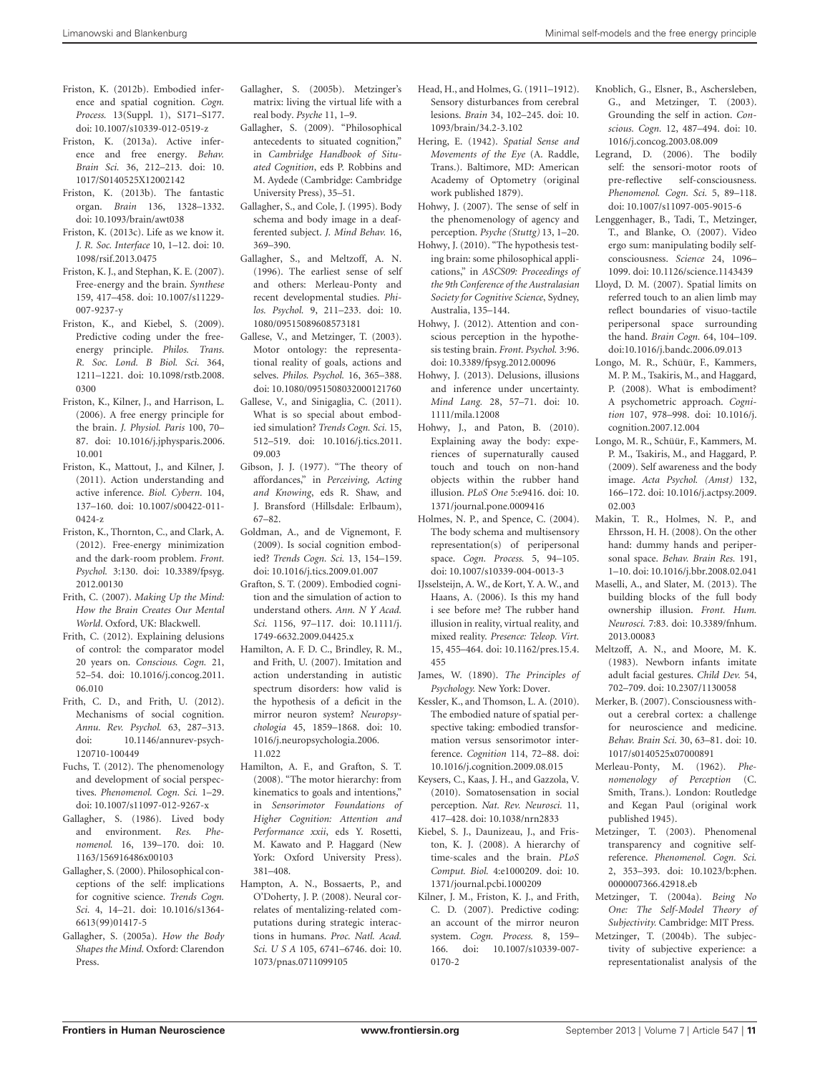- <span id="page-10-18"></span>Friston, K. (2012b). Embodied inference and spatial cognition. *Cogn. Process.* 13(Suppl. 1), S171–S177. doi: 10.1007/s10339-012-0519-z
- <span id="page-10-23"></span>Friston, K. (2013a). Active inference and free energy. *Behav. Brain Sci.* 36, 212–213. doi: 10. 1017/S0140525X12002142
- <span id="page-10-19"></span>Friston, K. (2013b). The fantastic organ. *Brain* 136, 1328–1332. doi: 10.1093/brain/awt038
- <span id="page-10-54"></span>Friston, K. (2013c). Life as we know it. *J. R. Soc. Interface* 10, 1–12. doi: 10. 1098/rsif.2013.0475
- <span id="page-10-20"></span>Friston, K. J., and Stephan, K. E. (2007). Free-energy and the brain. *Synthese* 159, 417–458. doi: 10.1007/s11229- 007-9237-y
- <span id="page-10-15"></span>Friston, K., and Kiebel, S. (2009). Predictive coding under the freeenergy principle. *Philos. Trans. R. Soc. Lond. B Biol. Sci.* 364, 1211–1221. doi: 10.1098/rstb.2008. 0300
- <span id="page-10-14"></span>Friston, K., Kilner, J., and Harrison, L. (2006). A free energy principle for the brain. *J. Physiol. Paris* 100, 70– 87. doi: 10.1016/j.jphysparis.2006. 10.001
- <span id="page-10-16"></span>Friston, K., Mattout, J., and Kilner, J. (2011). Action understanding and active inference. *Biol. Cybern.* 104, 137–160. doi: 10.1007/s00422-011- 0424-z
- <span id="page-10-17"></span>Friston, K., Thornton, C., and Clark, A. (2012). Free-energy minimization and the dark-room problem. *Front. Psychol.* 3:130. doi: 10.3389/fpsyg. 2012.00130
- <span id="page-10-7"></span>Frith, C. (2007). *Making Up the Mind: How the Brain Creates Our Mental World*. Oxford, UK: Blackwell.
- <span id="page-10-34"></span>Frith, C. (2012). Explaining delusions of control: the comparator model 20 years on. *Conscious. Cogn.* 21, 52–54. doi: 10.1016/j.concog.2011. 06.010
- <span id="page-10-45"></span>Frith, C. D., and Frith, U. (2012). Mechanisms of social cognition. *Annu. Rev. Psychol.* 63, 287–313. doi: 10.1146/annurev-psych-120710-100449
- <span id="page-10-44"></span>Fuchs, T. (2012). The phenomenology and development of social perspectives. *Phenomenol. Cogn. Sci.* 1–29. doi: 10.1007/s11097-012-9267-x
- <span id="page-10-37"></span>Gallagher, S. (1986). Lived body and environment. *Res. Phenomenol.* 16, 139–170. doi: 10. 1163/156916486x00103
- <span id="page-10-33"></span>Gallagher, S. (2000). Philosophical conceptions of the self: implications for cognitive science. *Trends Cogn. Sci.* 4, 14–21. doi: 10.1016/s1364- 6613(99)01417-5
- <span id="page-10-0"></span>Gallagher, S. (2005a). *How the Body Shapes the Mind.* Oxford: Clarendon Press.
- <span id="page-10-55"></span>Gallagher, S. (2005b). Metzinger's matrix: living the virtual life with a real body. *Psyche* 11, 1–9.
- <span id="page-10-38"></span>Gallagher, S. (2009). "Philosophical antecedents to situated cognition," in *Cambridge Handbook of Situated Cognition*, eds P. Robbins and M. Aydede (Cambridge: Cambridge University Press), 35–51.
- <span id="page-10-41"></span>Gallagher, S., and Cole, J. (1995). Body schema and body image in a deafferented subject. *J. Mind Behav.* 16, 369–390.
- <span id="page-10-47"></span>Gallagher, S., and Meltzoff, A. N. (1996). The earliest sense of self and others: Merleau-Ponty and recent developmental studies. *Philos. Psychol.* 9, 211–233. doi: 10. 1080/09515089608573181
- <span id="page-10-12"></span>Gallese, V., and Metzinger, T. (2003). Motor ontology: the representational reality of goals, actions and selves. *Philos. Psychol.* 16, 365–388. doi: 10.1080/0951508032000121760
- <span id="page-10-5"></span>Gallese, V., and Sinigaglia, C. (2011). What is so special about embodied simulation? *Trends Cogn. Sci.* 15, 512–519. doi: 10.1016/j.tics.2011. 09.003
- <span id="page-10-24"></span>Gibson, J. J. (1977). "The theory of affordances," in *Perceiving, Acting and Knowing*, eds R. Shaw, and J. Bransford (Hillsdale: Erlbaum), 67–82.
- <span id="page-10-52"></span>Goldman, A., and de Vignemont, F. (2009). Is social cognition embodied? *Trends Cogn. Sci.* 13, 154–159. doi: 10.1016/j.tics.2009.01.007
- <span id="page-10-1"></span>Grafton, S. T. (2009). Embodied cognition and the simulation of action to understand others. *Ann. N Y Acad. Sci.* 1156, 97–117. doi: 10.1111/j. 1749-6632.2009.04425.x
- <span id="page-10-50"></span>Hamilton, A. F. D. C., Brindley, R. M., and Frith, U. (2007). Imitation and action understanding in autistic spectrum disorders: how valid is the hypothesis of a deficit in the mirror neuron system? *Neuropsychologia* 45, 1859–1868. doi: 10. 1016/j.neuropsychologia.2006. 11.022
- <span id="page-10-51"></span>Hamilton, A. F., and Grafton, S. T. (2008). "The motor hierarchy: from kinematics to goals and intentions," in *Sensorimotor Foundations of Higher Cognition: Attention and Performance xxii*, eds Y. Rosetti, M. Kawato and P. Haggard (New York: Oxford University Press). 381–408.
- <span id="page-10-49"></span>Hampton, A. N., Bossaerts, P., and O'Doherty, J. P. (2008). Neural correlates of mentalizing-related computations during strategic interactions in humans. *Proc. Natl. Acad. Sci. U S A* 105, 6741–6746. doi: 10. 1073/pnas.0711099105
- <span id="page-10-40"></span>Head, H., and Holmes, G. (1911–1912). Sensory disturbances from cerebral lesions. *Brain* 34, 102–245. doi: 10. 1093/brain/34.2-3.102
- <span id="page-10-43"></span>Hering, E. (1942). *Spatial Sense and Movements of the Eye* (A. Raddle, Trans.). Baltimore, MD: American Academy of Optometry (original work published 1879).
- <span id="page-10-6"></span>Hohwy, J. (2007). The sense of self in the phenomenology of agency and perception. *Psyche (Stuttg)* 13, 1–20.
- <span id="page-10-9"></span>Hohwy, J. (2010). "The hypothesis testing brain: some philosophical applications," in *ASCS09: Proceedings of the 9th Conference of the Australasian Society for Cognitive Science*, Sydney, Australia, 135–144.
- <span id="page-10-22"></span>Hohwy, J. (2012). Attention and conscious perception in the hypothesis testing brain. *Front. Psychol.* 3:96. doi: 10.3389/fpsyg.2012.00096
- <span id="page-10-36"></span>Hohwy, J. (2013). Delusions, illusions and inference under uncertainty. *Mind Lang.* 28, 57–71. doi: 10. 1111/mila.12008
- <span id="page-10-25"></span>Hohwy, J., and Paton, B. (2010). Explaining away the body: experiences of supernaturally caused touch and touch on non-hand objects within the rubber hand illusion. *PLoS One* 5:e9416. doi: 10. 1371/journal.pone.0009416
- <span id="page-10-27"></span>Holmes, N. P., and Spence, C. (2004). The body schema and multisensory representation(s) of peripersonal space. *Cogn. Process.* 5, 94–105. doi: 10.1007/s10339-004-0013-3
- <span id="page-10-29"></span>IJsselsteijn, A. W., de Kort, Y. A. W., and Haans, A. (2006). Is this my hand i see before me? The rubber hand illusion in reality, virtual reality, and mixed reality. *Presence: Teleop. Virt.* 15, 455–464. doi: 10.1162/pres.15.4. 455
- <span id="page-10-8"></span>James, W. (1890). *The Principles of Psychology.* New York: Dover.
- <span id="page-10-53"></span>Kessler, K., and Thomson, L. A. (2010). The embodied nature of spatial perspective taking: embodied transformation versus sensorimotor interference. *Cognition* 114, 72–88. doi: 10.1016/j.cognition.2009.08.015
- <span id="page-10-48"></span>Keysers, C., Kaas, J. H., and Gazzola, V. (2010). Somatosensation in social perception. *Nat. Rev. Neurosci.* 11, 417–428. doi: 10.1038/nrn2833
- <span id="page-10-39"></span>Kiebel, S. J., Daunizeau, J., and Friston, K. J. (2008). A hierarchy of time-scales and the brain. *PLoS Comput. Biol.* 4:e1000209. doi: 10. 1371/journal.pcbi.1000209
- <span id="page-10-21"></span>Kilner, J. M., Friston, K. J., and Frith, C. D. (2007). Predictive coding: an account of the mirror neuron system. *Cogn. Process.* 8, 159– 166. doi: 10.1007/s10339-007- 0170-2
- <span id="page-10-13"></span>Knoblich, G., Elsner, B., Aschersleben, G., and Metzinger, T. (2003). Grounding the self in action. *Conscious. Cogn.* 12, 487–494. doi: 10. 1016/j.concog.2003.08.009
- <span id="page-10-4"></span>Legrand, D. (2006). The bodily self: the sensori-motor roots of pre-reflective self-consciousness. *Phenomenol. Cogn. Sci.* 5, 89–118. doi: 10.1007/s11097-005-9015-6
- <span id="page-10-28"></span>Lenggenhager, B., Tadi, T., Metzinger, T., and Blanke, O. (2007). Video ergo sum: manipulating bodily selfconsciousness. *Science* 24, 1096– 1099. doi: 10.1126/science.1143439
- <span id="page-10-31"></span>Lloyd, D. M. (2007). Spatial limits on referred touch to an alien limb may reflect boundaries of visuo-tactile peripersonal space surrounding the hand. *Brain Cogn.* 64, 104–109. doi:10.1016/j.bandc.2006.09.013
- <span id="page-10-30"></span>Longo, M. R., Schüür, F., Kammers, M. P. M., Tsakiris, M., and Haggard, P. (2008). What is embodiment? A psychometric approach. *Cognition* 107, 978–998. doi: 10.1016/j. cognition.2007.12.004
- <span id="page-10-32"></span>Longo, M. R., Schüür, F., Kammers, M. P. M., Tsakiris, M., and Haggard, P. (2009). Self awareness and the body image. *Acta Psychol. (Amst)* 132, 166–172. doi: 10.1016/j.actpsy.2009. 02.003
- <span id="page-10-26"></span>Makin, T. R., Holmes, N. P., and Ehrsson, H. H. (2008). On the other hand: dummy hands and peripersonal space. *Behav. Brain Res.* 191, 1–10. doi: 10.1016/j.bbr.2008.02.041
- <span id="page-10-35"></span>Maselli, A., and Slater, M. (2013). The building blocks of the full body ownership illusion. *Front. Hum. Neurosci.* 7:83. doi: 10.3389/fnhum. 2013.00083
- <span id="page-10-46"></span>Meltzoff, A. N., and Moore, M. K. (1983). Newborn infants imitate adult facial gestures. *Child Dev.* 54, 702–709. doi: 10.2307/1130058
- <span id="page-10-42"></span>Merker, B. (2007). Consciousness without a cerebral cortex: a challenge for neuroscience and medicine. *Behav. Brain Sci.* 30, 63–81. doi: 10. 1017/s0140525x07000891
- <span id="page-10-3"></span>Merleau-Ponty, M. (1962). *Phenomenology of Perception* (C. Smith, Trans.). London: Routledge and Kegan Paul (original work published 1945).
- <span id="page-10-10"></span>Metzinger, T. (2003). Phenomenal transparency and cognitive selfreference. *Phenomenol. Cogn. Sci.* 2, 353–393. doi: 10.1023/b:phen. 0000007366.42918.eb
- <span id="page-10-2"></span>Metzinger, T. (2004a). *Being No One: The Self-Model Theory of Subjectivity.* Cambridge: MIT Press.
- <span id="page-10-11"></span>Metzinger, T. (2004b). The subjectivity of subjective experience: a representationalist analysis of the